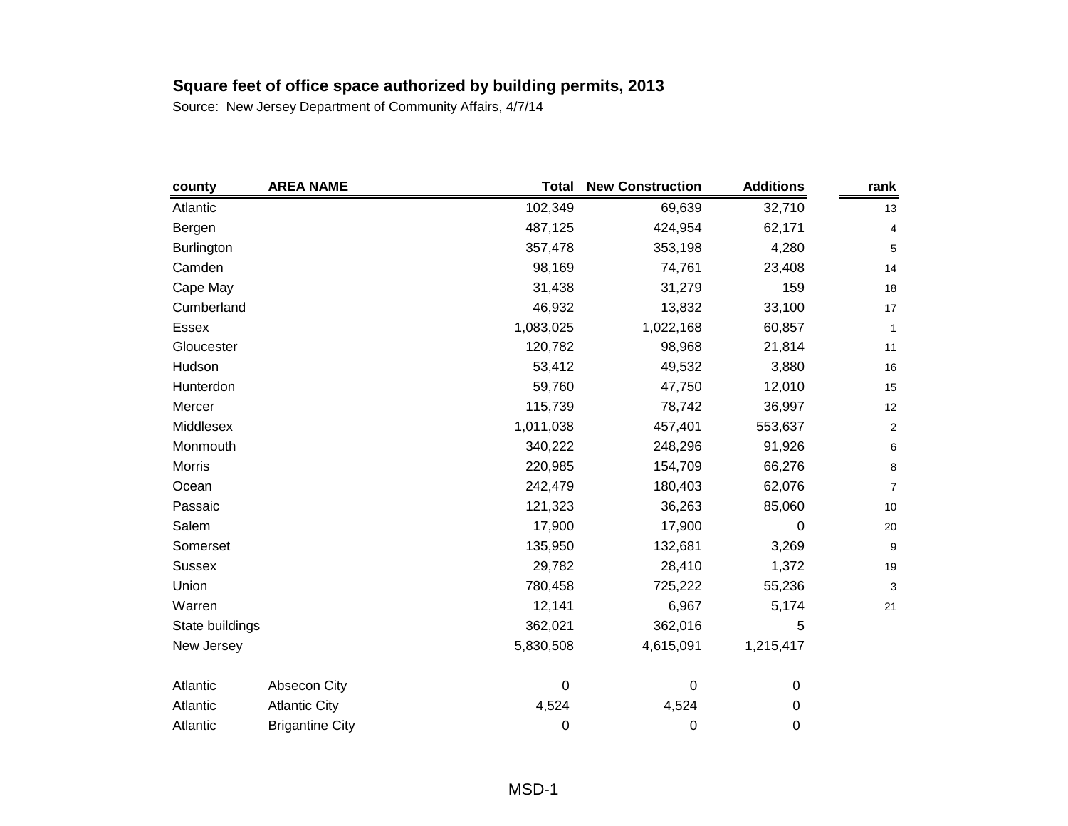| county            | <b>AREA NAME</b>       | <b>Total</b> | <b>New Construction</b> | <b>Additions</b> | rank             |
|-------------------|------------------------|--------------|-------------------------|------------------|------------------|
| Atlantic          |                        | 102,349      | 69,639                  | 32,710           | 13               |
| Bergen            |                        | 487,125      | 424,954                 | 62,171           | 4                |
| <b>Burlington</b> |                        | 357,478      | 353,198                 | 4,280            | 5                |
| Camden            |                        | 98,169       | 74,761                  | 23,408           | 14               |
| Cape May          |                        | 31,438       | 31,279                  | 159              | 18               |
| Cumberland        |                        | 46,932       | 13,832                  | 33,100           | 17               |
| <b>Essex</b>      |                        | 1,083,025    | 1,022,168               | 60,857           | 1                |
| Gloucester        |                        | 120,782      | 98,968                  | 21,814           | 11               |
| Hudson            |                        | 53,412       | 49,532                  | 3,880            | 16               |
| Hunterdon         |                        | 59,760       | 47,750                  | 12,010           | 15               |
| Mercer            |                        | 115,739      | 78,742                  | 36,997           | 12               |
| Middlesex         |                        | 1,011,038    | 457,401                 | 553,637          | $\boldsymbol{2}$ |
| Monmouth          |                        | 340,222      | 248,296                 | 91,926           | 6                |
| Morris            |                        | 220,985      | 154,709                 | 66,276           | 8                |
| Ocean             |                        | 242,479      | 180,403                 | 62,076           | $\overline{7}$   |
| Passaic           |                        | 121,323      | 36,263                  | 85,060           | $10$             |
| Salem             |                        | 17,900       | 17,900                  | 0                | 20               |
| Somerset          |                        | 135,950      | 132,681                 | 3,269            | 9                |
| <b>Sussex</b>     |                        | 29,782       | 28,410                  | 1,372            | 19               |
| Union             |                        | 780,458      | 725,222                 | 55,236           | 3                |
| Warren            |                        | 12,141       | 6,967                   | 5,174            | 21               |
| State buildings   |                        | 362,021      | 362,016                 | 5                |                  |
| New Jersey        |                        | 5,830,508    | 4,615,091               | 1,215,417        |                  |
| Atlantic          | Absecon City           | 0            | $\boldsymbol{0}$        | 0                |                  |
| Atlantic          | <b>Atlantic City</b>   | 4,524        | 4,524                   | 0                |                  |
| Atlantic          | <b>Brigantine City</b> | 0            | 0                       | 0                |                  |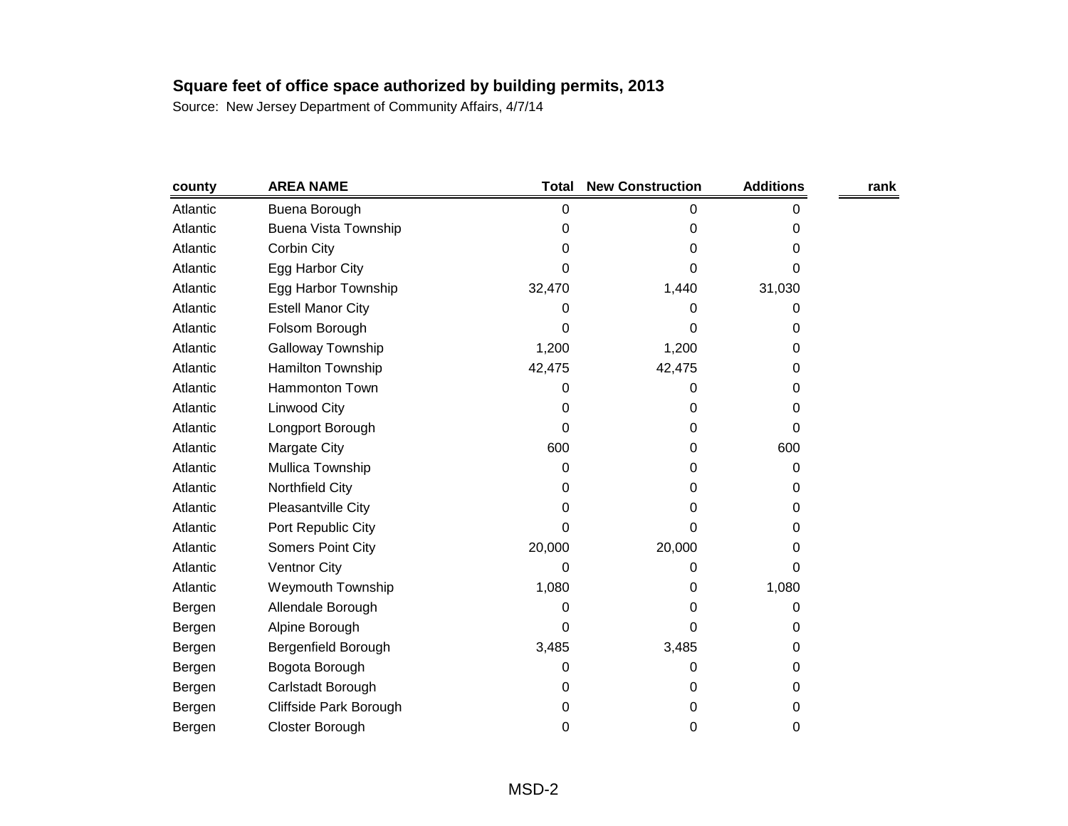| county   | <b>AREA NAME</b>            | <b>Total</b> | <b>New Construction</b> | <b>Additions</b> | rank |
|----------|-----------------------------|--------------|-------------------------|------------------|------|
| Atlantic | Buena Borough               | 0            | 0                       | 0                |      |
| Atlantic | <b>Buena Vista Township</b> | 0            | 0                       | 0                |      |
| Atlantic | Corbin City                 | 0            | 0                       | 0                |      |
| Atlantic | Egg Harbor City             | 0            | 0                       | 0                |      |
| Atlantic | Egg Harbor Township         | 32,470       | 1,440                   | 31,030           |      |
| Atlantic | <b>Estell Manor City</b>    | 0            | 0                       | 0                |      |
| Atlantic | Folsom Borough              | 0            | 0                       | 0                |      |
| Atlantic | Galloway Township           | 1,200        | 1,200                   | 0                |      |
| Atlantic | Hamilton Township           | 42,475       | 42,475                  | 0                |      |
| Atlantic | Hammonton Town              | 0            | 0                       | 0                |      |
| Atlantic | Linwood City                | 0            | 0                       | 0                |      |
| Atlantic | Longport Borough            | 0            | 0                       | 0                |      |
| Atlantic | Margate City                | 600          | 0                       | 600              |      |
| Atlantic | Mullica Township            | 0            | 0                       | 0                |      |
| Atlantic | Northfield City             | 0            | 0                       | 0                |      |
| Atlantic | Pleasantville City          | 0            | 0                       | 0                |      |
| Atlantic | Port Republic City          | 0            | 0                       | 0                |      |
| Atlantic | Somers Point City           | 20,000       | 20,000                  | 0                |      |
| Atlantic | <b>Ventnor City</b>         | 0            | 0                       | 0                |      |
| Atlantic | <b>Weymouth Township</b>    | 1,080        | 0                       | 1,080            |      |
| Bergen   | Allendale Borough           | 0            | 0                       | 0                |      |
| Bergen   | Alpine Borough              | 0            | 0                       | 0                |      |
| Bergen   | Bergenfield Borough         | 3,485        | 3,485                   | 0                |      |
| Bergen   | Bogota Borough              | 0            | 0                       | 0                |      |
| Bergen   | Carlstadt Borough           | 0            | 0                       | 0                |      |
| Bergen   | Cliffside Park Borough      | 0            | 0                       | 0                |      |
| Bergen   | Closter Borough             | 0            | 0                       | 0                |      |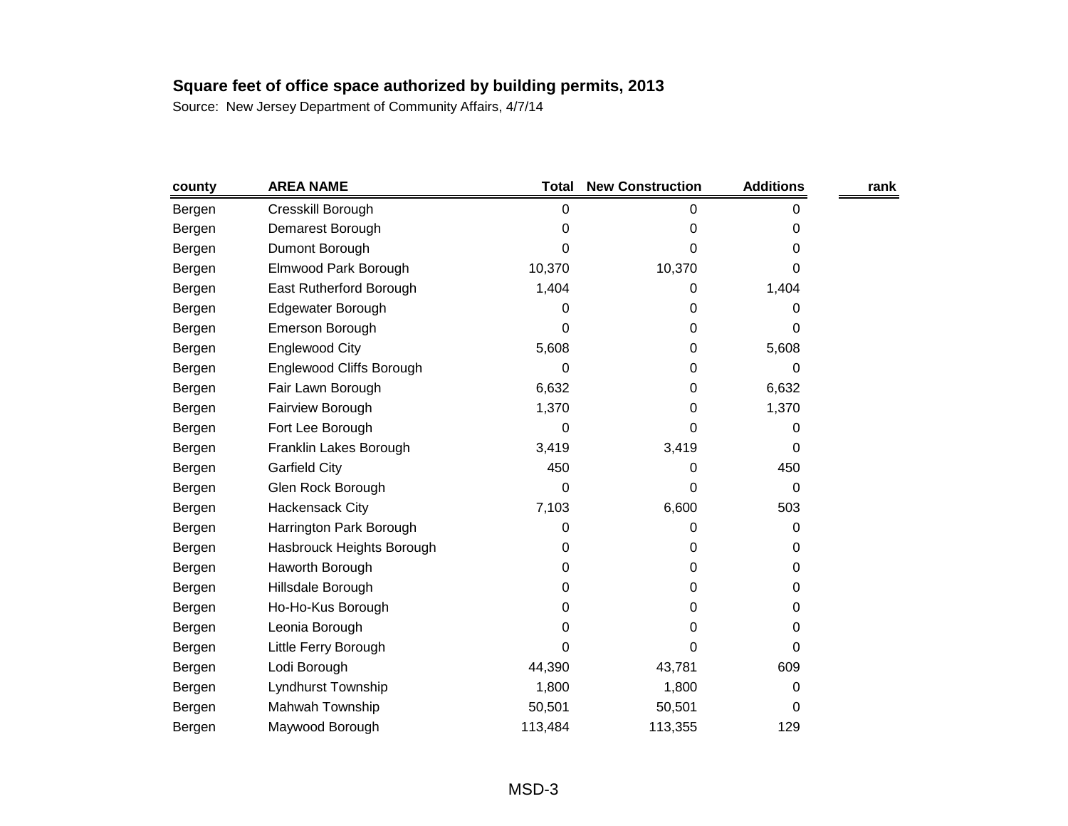| county | <b>AREA NAME</b>          | <b>Total</b> | <b>New Construction</b> | <b>Additions</b> | rank |
|--------|---------------------------|--------------|-------------------------|------------------|------|
| Bergen | Cresskill Borough         | 0            | 0                       | 0                |      |
| Bergen | Demarest Borough          | 0            | 0                       | 0                |      |
| Bergen | Dumont Borough            | 0            | 0                       | 0                |      |
| Bergen | Elmwood Park Borough      | 10,370       | 10,370                  | 0                |      |
| Bergen | East Rutherford Borough   | 1,404        | 0                       | 1,404            |      |
| Bergen | Edgewater Borough         | 0            | 0                       | 0                |      |
| Bergen | <b>Emerson Borough</b>    | 0            | 0                       | 0                |      |
| Bergen | Englewood City            | 5,608        | 0                       | 5,608            |      |
| Bergen | Englewood Cliffs Borough  | 0            | 0                       | 0                |      |
| Bergen | Fair Lawn Borough         | 6,632        | 0                       | 6,632            |      |
| Bergen | Fairview Borough          | 1,370        | 0                       | 1,370            |      |
| Bergen | Fort Lee Borough          | 0            | 0                       | 0                |      |
| Bergen | Franklin Lakes Borough    | 3,419        | 3,419                   | 0                |      |
| Bergen | <b>Garfield City</b>      | 450          | 0                       | 450              |      |
| Bergen | Glen Rock Borough         | 0            | 0                       | 0                |      |
| Bergen | <b>Hackensack City</b>    | 7,103        | 6,600                   | 503              |      |
| Bergen | Harrington Park Borough   | 0            | 0                       | 0                |      |
| Bergen | Hasbrouck Heights Borough | 0            | 0                       | 0                |      |
| Bergen | Haworth Borough           | 0            | 0                       | 0                |      |
| Bergen | Hillsdale Borough         | 0            | 0                       | 0                |      |
| Bergen | Ho-Ho-Kus Borough         | 0            | 0                       | 0                |      |
| Bergen | Leonia Borough            | 0            | 0                       | 0                |      |
| Bergen | Little Ferry Borough      | 0            | 0                       | 0                |      |
| Bergen | Lodi Borough              | 44,390       | 43,781                  | 609              |      |
| Bergen | Lyndhurst Township        | 1,800        | 1,800                   | 0                |      |
| Bergen | Mahwah Township           | 50,501       | 50,501                  | 0                |      |
| Bergen | Maywood Borough           | 113,484      | 113,355                 | 129              |      |
|        |                           |              |                         |                  |      |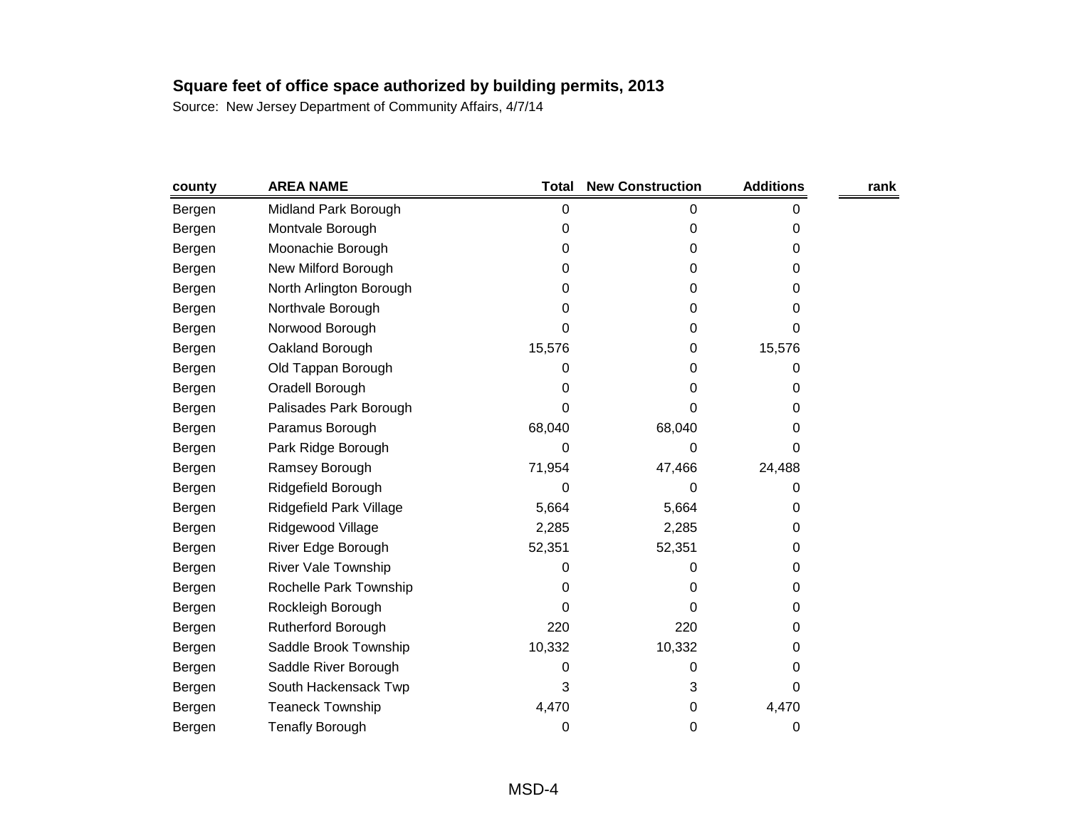| county | <b>AREA NAME</b>        | <b>Total</b> | <b>New Construction</b> | <b>Additions</b> | rank |
|--------|-------------------------|--------------|-------------------------|------------------|------|
| Bergen | Midland Park Borough    | 0            | 0                       | Ω                |      |
| Bergen | Montvale Borough        | 0            | 0                       | 0                |      |
| Bergen | Moonachie Borough       | 0            | 0                       | 0                |      |
| Bergen | New Milford Borough     | 0            | 0                       | 0                |      |
| Bergen | North Arlington Borough | 0            | 0                       | 0                |      |
| Bergen | Northvale Borough       | 0            | 0                       | 0                |      |
| Bergen | Norwood Borough         | 0            | 0                       | 0                |      |
| Bergen | Oakland Borough         | 15,576       | 0                       | 15,576           |      |
| Bergen | Old Tappan Borough      | 0            | 0                       | O                |      |
| Bergen | Oradell Borough         | 0            | 0                       | 0                |      |
| Bergen | Palisades Park Borough  | 0            | 0                       | 0                |      |
| Bergen | Paramus Borough         | 68,040       | 68,040                  | 0                |      |
| Bergen | Park Ridge Borough      | 0            | 0                       | 0                |      |
| Bergen | Ramsey Borough          | 71,954       | 47,466                  | 24,488           |      |
| Bergen | Ridgefield Borough      | 0            | 0                       | 0                |      |
| Bergen | Ridgefield Park Village | 5,664        | 5,664                   | 0                |      |
| Bergen | Ridgewood Village       | 2,285        | 2,285                   | 0                |      |
| Bergen | River Edge Borough      | 52,351       | 52,351                  | 0                |      |
| Bergen | River Vale Township     | 0            | 0                       | 0                |      |
| Bergen | Rochelle Park Township  | 0            | 0                       | 0                |      |
| Bergen | Rockleigh Borough       | 0            | 0                       | 0                |      |
| Bergen | Rutherford Borough      | 220          | 220                     | 0                |      |
| Bergen | Saddle Brook Township   | 10,332       | 10,332                  | 0                |      |
| Bergen | Saddle River Borough    | 0            | 0                       | 0                |      |
| Bergen | South Hackensack Twp    | 3            | 3                       | 0                |      |
| Bergen | <b>Teaneck Township</b> | 4,470        | 0                       | 4,470            |      |
| Bergen | <b>Tenafly Borough</b>  | 0            | 0                       | 0                |      |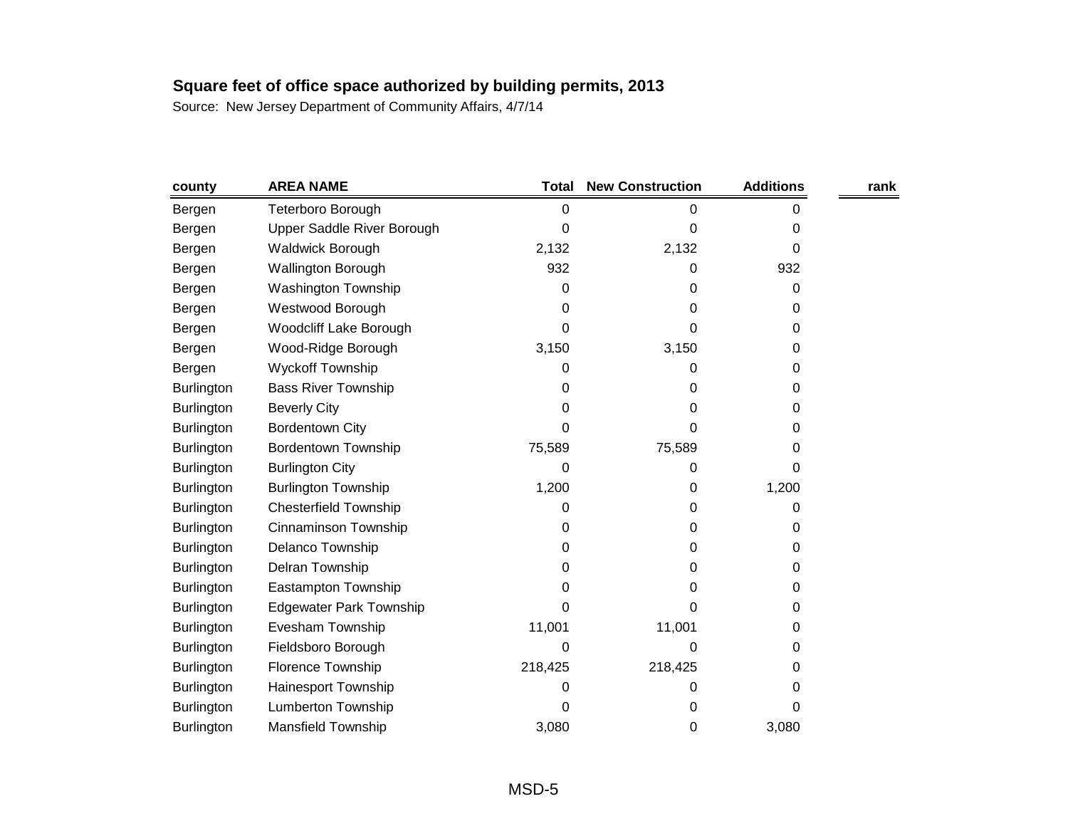| county            | <b>AREA NAME</b>               | <b>Total</b> | <b>New Construction</b> | <b>Additions</b> | rank |
|-------------------|--------------------------------|--------------|-------------------------|------------------|------|
| Bergen            | Teterboro Borough              | 0            | 0                       | 0                |      |
| Bergen            | Upper Saddle River Borough     | 0            | 0                       | 0                |      |
| Bergen            | <b>Waldwick Borough</b>        | 2,132        | 2,132                   | 0                |      |
| Bergen            | <b>Wallington Borough</b>      | 932          | 0                       | 932              |      |
| Bergen            | Washington Township            | 0            | 0                       | 0                |      |
| Bergen            | Westwood Borough               | 0            | 0                       | 0                |      |
| Bergen            | <b>Woodcliff Lake Borough</b>  | 0            | 0                       | 0                |      |
| Bergen            | Wood-Ridge Borough             | 3,150        | 3,150                   | 0                |      |
| Bergen            | <b>Wyckoff Township</b>        | 0            | 0                       | 0                |      |
| <b>Burlington</b> | <b>Bass River Township</b>     | 0            | 0                       | 0                |      |
| <b>Burlington</b> | <b>Beverly City</b>            | 0            | 0                       | 0                |      |
| <b>Burlington</b> | <b>Bordentown City</b>         | 0            | 0                       | 0                |      |
| <b>Burlington</b> | Bordentown Township            | 75,589       | 75,589                  | 0                |      |
| <b>Burlington</b> | <b>Burlington City</b>         | 0            | 0                       | 0                |      |
| <b>Burlington</b> | <b>Burlington Township</b>     | 1,200        | 0                       | 1,200            |      |
| <b>Burlington</b> | <b>Chesterfield Township</b>   | 0            | 0                       | 0                |      |
| <b>Burlington</b> | Cinnaminson Township           | 0            | 0                       | 0                |      |
| <b>Burlington</b> | Delanco Township               | 0            | 0                       | 0                |      |
| <b>Burlington</b> | Delran Township                | 0            | 0                       | 0                |      |
| <b>Burlington</b> | Eastampton Township            | 0            | 0                       | 0                |      |
| <b>Burlington</b> | <b>Edgewater Park Township</b> | 0            | 0                       | 0                |      |
| <b>Burlington</b> | Evesham Township               | 11,001       | 11,001                  | 0                |      |
| <b>Burlington</b> | Fieldsboro Borough             | 0            | 0                       | 0                |      |
| <b>Burlington</b> | Florence Township              | 218,425      | 218,425                 | 0                |      |
| <b>Burlington</b> | Hainesport Township            | 0            | 0                       | 0                |      |
| <b>Burlington</b> | Lumberton Township             | 0            | 0                       | 0                |      |
| Burlington        | <b>Mansfield Township</b>      | 3,080        | 0                       | 3,080            |      |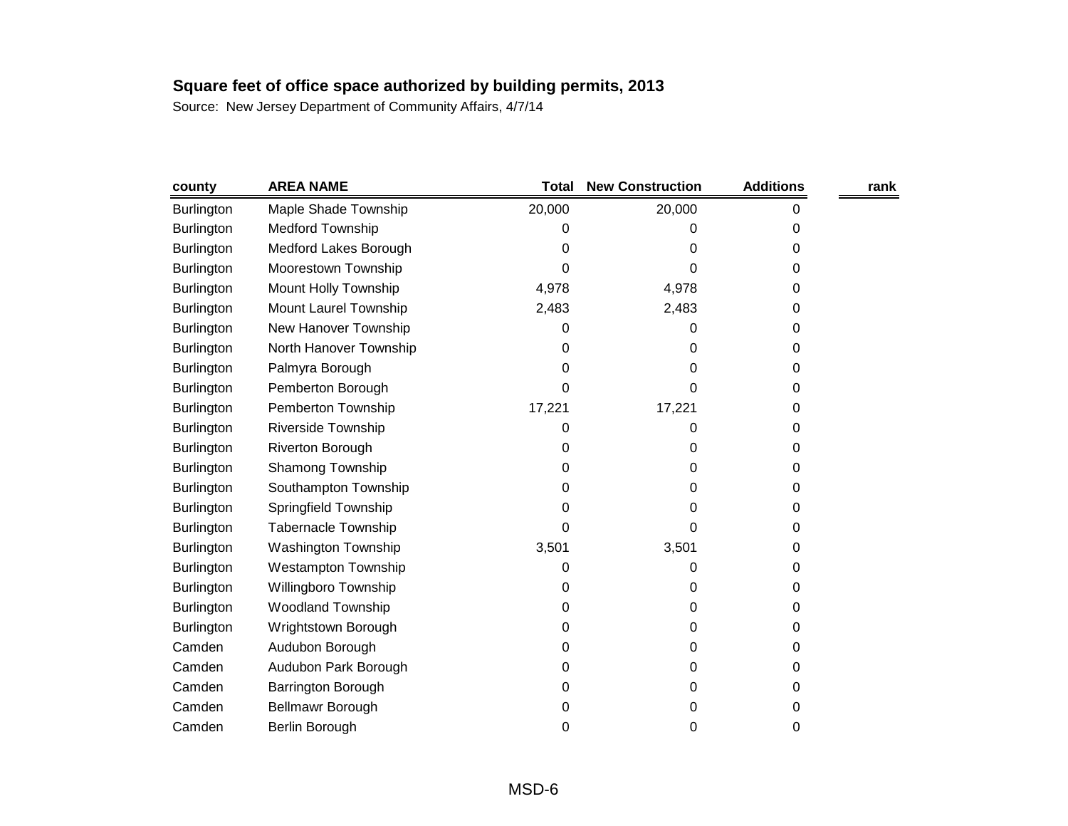| county            | <b>AREA NAME</b>           | Total  | <b>New Construction</b> | <b>Additions</b> | rank |
|-------------------|----------------------------|--------|-------------------------|------------------|------|
| Burlington        | Maple Shade Township       | 20,000 | 20,000                  | 0                |      |
| Burlington        | <b>Medford Township</b>    | 0      | 0                       | 0                |      |
| <b>Burlington</b> | Medford Lakes Borough      | 0      | 0                       | 0                |      |
| <b>Burlington</b> | Moorestown Township        | 0      | 0                       | 0                |      |
| <b>Burlington</b> | Mount Holly Township       | 4,978  | 4,978                   | 0                |      |
| <b>Burlington</b> | Mount Laurel Township      | 2,483  | 2,483                   | 0                |      |
| <b>Burlington</b> | New Hanover Township       | 0      | 0                       | 0                |      |
| <b>Burlington</b> | North Hanover Township     | 0      | 0                       | 0                |      |
| <b>Burlington</b> | Palmyra Borough            | 0      | 0                       | 0                |      |
| <b>Burlington</b> | Pemberton Borough          | 0      | 0                       | 0                |      |
| <b>Burlington</b> | Pemberton Township         | 17,221 | 17,221                  | 0                |      |
| <b>Burlington</b> | Riverside Township         | 0      | O                       | 0                |      |
| <b>Burlington</b> | <b>Riverton Borough</b>    | 0      | 0                       | 0                |      |
| <b>Burlington</b> | Shamong Township           | 0      | 0                       | 0                |      |
| <b>Burlington</b> | Southampton Township       | 0      | 0                       | 0                |      |
| Burlington        | Springfield Township       | 0      | 0                       | 0                |      |
| <b>Burlington</b> | <b>Tabernacle Township</b> | 0      | 0                       | 0                |      |
| <b>Burlington</b> | <b>Washington Township</b> | 3,501  | 3,501                   | 0                |      |
| Burlington        | <b>Westampton Township</b> | 0      | 0                       | 0                |      |
| <b>Burlington</b> | Willingboro Township       | 0      | 0                       | 0                |      |
| <b>Burlington</b> | <b>Woodland Township</b>   | 0      | 0                       | 0                |      |
| Burlington        | Wrightstown Borough        | 0      | 0                       | 0                |      |
| Camden            | Audubon Borough            | 0      | 0                       | 0                |      |
| Camden            | Audubon Park Borough       | 0      | 0                       | 0                |      |
| Camden            | Barrington Borough         | 0      | 0                       | 0                |      |
| Camden            | Bellmawr Borough           | 0      | 0                       | 0                |      |
| Camden            | Berlin Borough             | 0      | 0                       | 0                |      |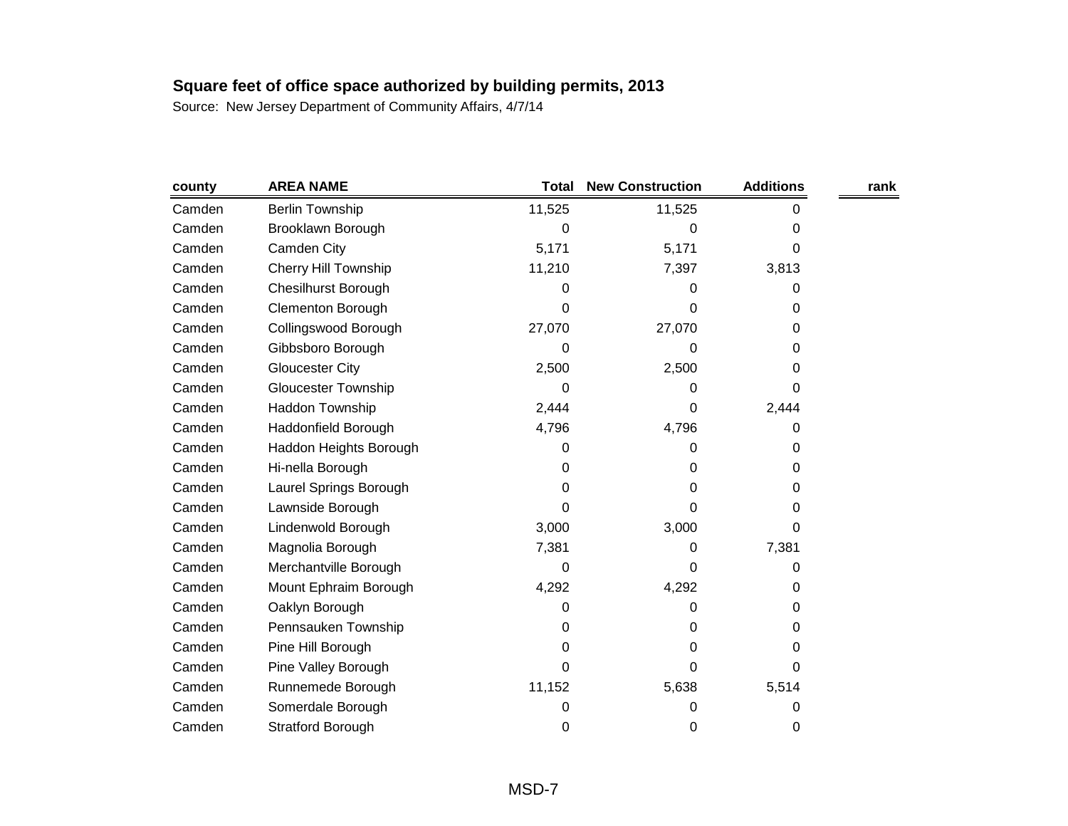| county | <b>AREA NAME</b>            | <b>Total</b> | <b>New Construction</b> | <b>Additions</b> | rank |
|--------|-----------------------------|--------------|-------------------------|------------------|------|
| Camden | <b>Berlin Township</b>      | 11,525       | 11,525                  | 0                |      |
| Camden | Brooklawn Borough           | 0            | 0                       | 0                |      |
| Camden | Camden City                 | 5,171        | 5,171                   | 0                |      |
| Camden | <b>Cherry Hill Township</b> | 11,210       | 7,397                   | 3,813            |      |
| Camden | <b>Chesilhurst Borough</b>  | 0            | 0                       | 0                |      |
| Camden | <b>Clementon Borough</b>    | 0            | 0                       | 0                |      |
| Camden | Collingswood Borough        | 27,070       | 27,070                  | 0                |      |
| Camden | Gibbsboro Borough           | 0            | 0                       | 0                |      |
| Camden | <b>Gloucester City</b>      | 2,500        | 2,500                   | 0                |      |
| Camden | <b>Gloucester Township</b>  | 0            | 0                       | 0                |      |
| Camden | Haddon Township             | 2,444        | 0                       | 2,444            |      |
| Camden | Haddonfield Borough         | 4,796        | 4,796                   | 0                |      |
| Camden | Haddon Heights Borough      | 0            | 0                       | 0                |      |
| Camden | Hi-nella Borough            | 0            | 0                       | 0                |      |
| Camden | Laurel Springs Borough      | 0            | 0                       | 0                |      |
| Camden | Lawnside Borough            | 0            | 0                       | 0                |      |
| Camden | Lindenwold Borough          | 3,000        | 3,000                   | 0                |      |
| Camden | Magnolia Borough            | 7,381        | 0                       | 7,381            |      |
| Camden | Merchantville Borough       | 0            | 0                       | 0                |      |
| Camden | Mount Ephraim Borough       | 4,292        | 4,292                   | 0                |      |
| Camden | Oaklyn Borough              | 0            | 0                       | 0                |      |
| Camden | Pennsauken Township         | 0            | 0                       | 0                |      |
| Camden | Pine Hill Borough           | 0            | 0                       | 0                |      |
| Camden | Pine Valley Borough         | 0            | 0                       | 0                |      |
| Camden | Runnemede Borough           | 11,152       | 5,638                   | 5,514            |      |
| Camden | Somerdale Borough           | 0            | 0                       | 0                |      |
| Camden | <b>Stratford Borough</b>    | 0            | 0                       | 0                |      |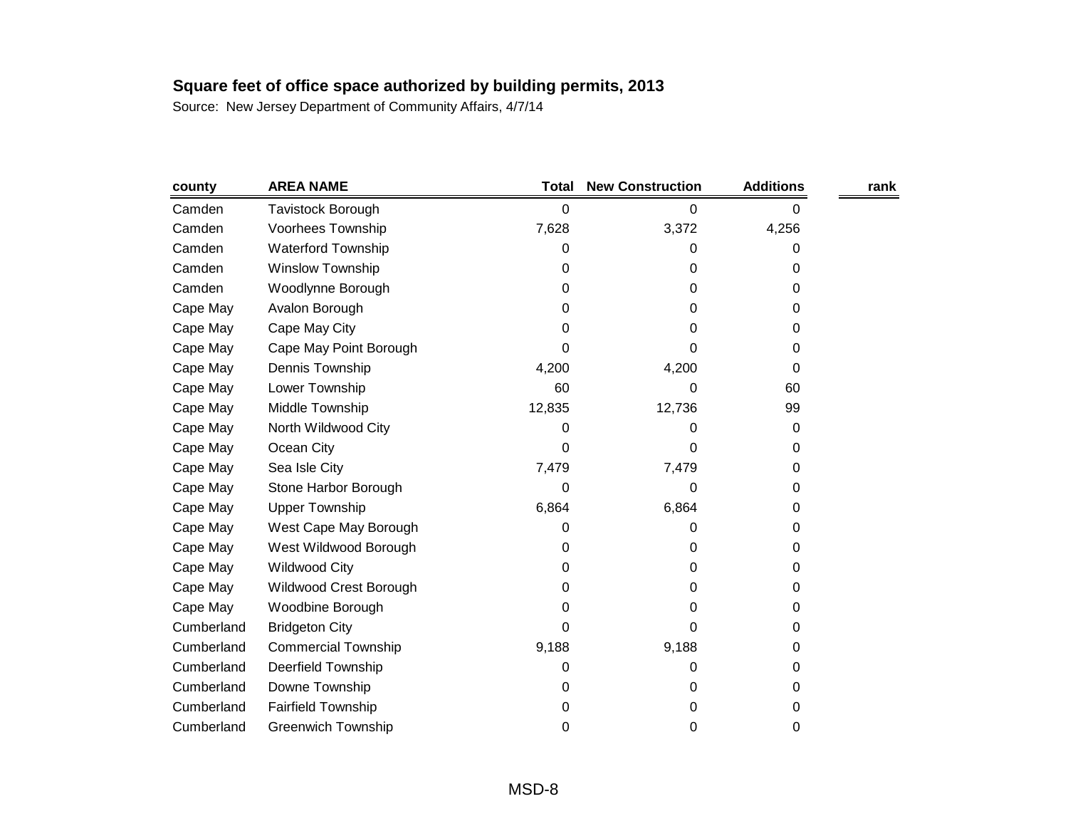| county     | <b>AREA NAME</b>           | <b>Total</b> | <b>New Construction</b> | <b>Additions</b> | rank |
|------------|----------------------------|--------------|-------------------------|------------------|------|
| Camden     | Tavistock Borough          | 0            | 0                       | 0                |      |
| Camden     | <b>Voorhees Township</b>   | 7,628        | 3,372                   | 4,256            |      |
| Camden     | <b>Waterford Township</b>  | 0            | 0                       | 0                |      |
| Camden     | <b>Winslow Township</b>    | 0            | 0                       | 0                |      |
| Camden     | Woodlynne Borough          | 0            | 0                       | 0                |      |
| Cape May   | Avalon Borough             | 0            | 0                       | 0                |      |
| Cape May   | Cape May City              | 0            | 0                       | 0                |      |
| Cape May   | Cape May Point Borough     | 0            | 0                       | 0                |      |
| Cape May   | Dennis Township            | 4,200        | 4,200                   | 0                |      |
| Cape May   | Lower Township             | 60           | 0                       | 60               |      |
| Cape May   | Middle Township            | 12,835       | 12,736                  | 99               |      |
| Cape May   | North Wildwood City        | 0            | 0                       | 0                |      |
| Cape May   | Ocean City                 | 0            | 0                       | 0                |      |
| Cape May   | Sea Isle City              | 7,479        | 7,479                   | 0                |      |
| Cape May   | Stone Harbor Borough       | 0            | 0                       | 0                |      |
| Cape May   | <b>Upper Township</b>      | 6,864        | 6,864                   | 0                |      |
| Cape May   | West Cape May Borough      | 0            | 0                       | 0                |      |
| Cape May   | West Wildwood Borough      | 0            | 0                       | 0                |      |
| Cape May   | <b>Wildwood City</b>       | 0            | 0                       | 0                |      |
| Cape May   | Wildwood Crest Borough     | 0            | 0                       | 0                |      |
| Cape May   | Woodbine Borough           | 0            | 0                       | 0                |      |
| Cumberland | <b>Bridgeton City</b>      | 0            | 0                       | 0                |      |
| Cumberland | <b>Commercial Township</b> | 9,188        | 9,188                   | 0                |      |
| Cumberland | Deerfield Township         | 0            | 0                       | 0                |      |
| Cumberland | Downe Township             | 0            | 0                       | 0                |      |
| Cumberland | <b>Fairfield Township</b>  | 0            | 0                       | 0                |      |
| Cumberland | <b>Greenwich Township</b>  | 0            | 0                       | 0                |      |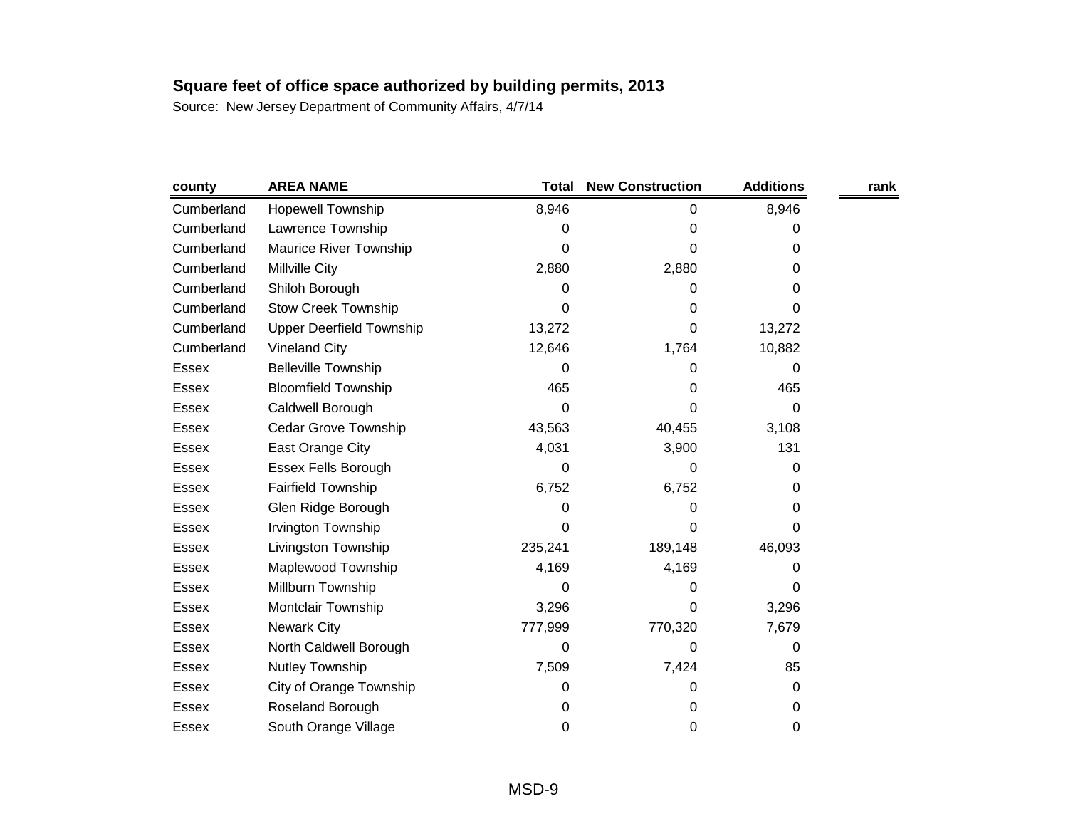| county       | <b>AREA NAME</b>                | <b>Total</b> | <b>New Construction</b> | <b>Additions</b> | rank |
|--------------|---------------------------------|--------------|-------------------------|------------------|------|
| Cumberland   | <b>Hopewell Township</b>        | 8,946        | 0                       | 8,946            |      |
| Cumberland   | Lawrence Township               | 0            | 0                       | 0                |      |
| Cumberland   | Maurice River Township          | 0            | 0                       | 0                |      |
| Cumberland   | Millville City                  | 2,880        | 2,880                   | 0                |      |
| Cumberland   | Shiloh Borough                  | 0            | 0                       | 0                |      |
| Cumberland   | <b>Stow Creek Township</b>      | 0            | 0                       | 0                |      |
| Cumberland   | <b>Upper Deerfield Township</b> | 13,272       | 0                       | 13,272           |      |
| Cumberland   | <b>Vineland City</b>            | 12,646       | 1,764                   | 10,882           |      |
| Essex        | <b>Belleville Township</b>      | 0            | 0                       | 0                |      |
| <b>Essex</b> | <b>Bloomfield Township</b>      | 465          | 0                       | 465              |      |
| Essex        | Caldwell Borough                | 0            | 0                       | 0                |      |
| Essex        | <b>Cedar Grove Township</b>     | 43,563       | 40,455                  | 3,108            |      |
| Essex        | East Orange City                | 4,031        | 3,900                   | 131              |      |
| Essex        | <b>Essex Fells Borough</b>      | 0            | 0                       | 0                |      |
| Essex        | <b>Fairfield Township</b>       | 6,752        | 6,752                   | 0                |      |
| <b>Essex</b> | Glen Ridge Borough              | 0            | 0                       | 0                |      |
| Essex        | Irvington Township              | 0            | 0                       | 0                |      |
| <b>Essex</b> | Livingston Township             | 235,241      | 189,148                 | 46,093           |      |
| Essex        | Maplewood Township              | 4,169        | 4,169                   | 0                |      |
| <b>Essex</b> | Millburn Township               | 0            | 0                       | 0                |      |
| <b>Essex</b> | Montclair Township              | 3,296        | 0                       | 3,296            |      |
| Essex        | <b>Newark City</b>              | 777,999      | 770,320                 | 7,679            |      |
| Essex        | North Caldwell Borough          | 0            | 0                       | 0                |      |
| <b>Essex</b> | Nutley Township                 | 7,509        | 7,424                   | 85               |      |
| Essex        | City of Orange Township         | 0            | 0                       | 0                |      |
| <b>Essex</b> | Roseland Borough                | 0            | 0                       | 0                |      |
| Essex        | South Orange Village            | 0            | 0                       | 0                |      |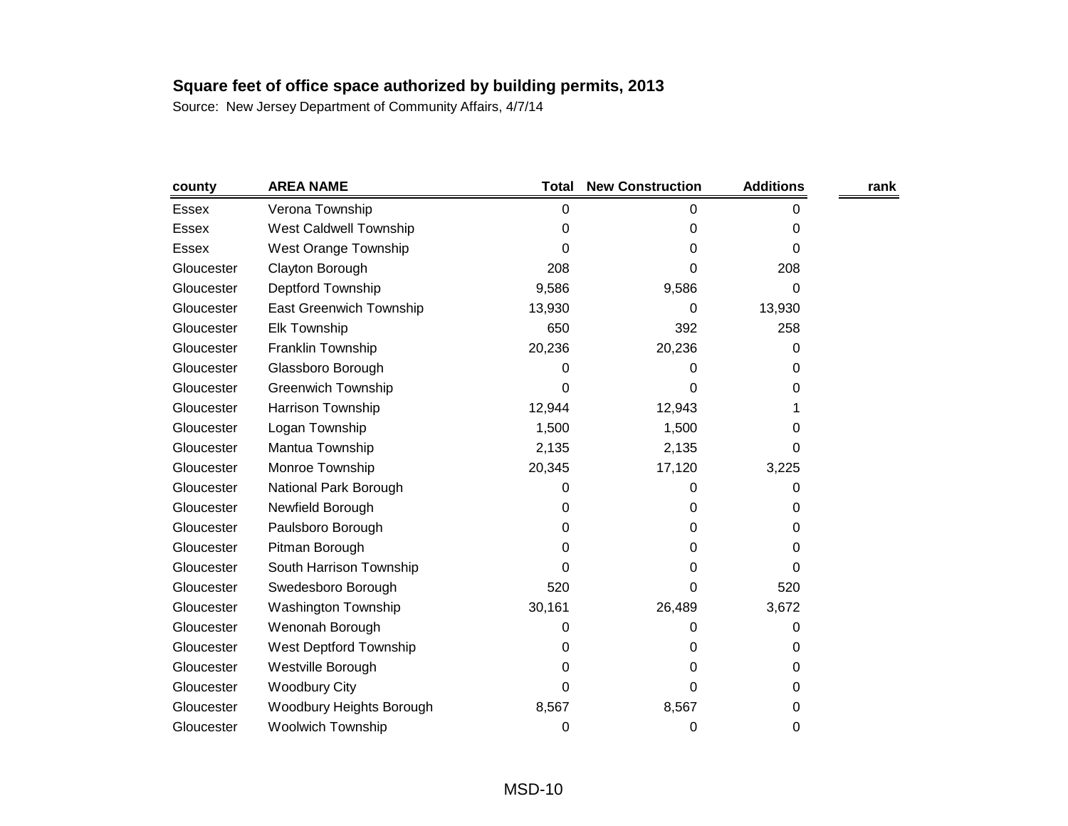| county       | <b>AREA NAME</b>          | <b>Total</b> | <b>New Construction</b> | <b>Additions</b> | rank |
|--------------|---------------------------|--------------|-------------------------|------------------|------|
| <b>Essex</b> | Verona Township           | $\Omega$     | 0                       | 0                |      |
| <b>Essex</b> | West Caldwell Township    | 0            | 0                       | 0                |      |
| Essex        | West Orange Township      | 0            | 0                       | 0                |      |
| Gloucester   | Clayton Borough           | 208          | 0                       | 208              |      |
| Gloucester   | Deptford Township         | 9,586        | 9,586                   | 0                |      |
| Gloucester   | East Greenwich Township   | 13,930       | 0                       | 13,930           |      |
| Gloucester   | <b>Elk Township</b>       | 650          | 392                     | 258              |      |
| Gloucester   | Franklin Township         | 20,236       | 20,236                  | 0                |      |
| Gloucester   | Glassboro Borough         | 0            | 0                       | 0                |      |
| Gloucester   | <b>Greenwich Township</b> | 0            | 0                       | 0                |      |
| Gloucester   | Harrison Township         | 12,944       | 12,943                  |                  |      |
| Gloucester   | Logan Township            | 1,500        | 1,500                   | 0                |      |
| Gloucester   | Mantua Township           | 2,135        | 2,135                   | 0                |      |
| Gloucester   | Monroe Township           | 20,345       | 17,120                  | 3,225            |      |
| Gloucester   | National Park Borough     | 0            | 0                       | 0                |      |
| Gloucester   | Newfield Borough          | 0            | 0                       | 0                |      |
| Gloucester   | Paulsboro Borough         | 0            | 0                       | 0                |      |
| Gloucester   | Pitman Borough            | 0            | 0                       | 0                |      |
| Gloucester   | South Harrison Township   | 0            | 0                       | 0                |      |
| Gloucester   | Swedesboro Borough        | 520          | 0                       | 520              |      |
| Gloucester   | Washington Township       | 30,161       | 26,489                  | 3,672            |      |
| Gloucester   | Wenonah Borough           | 0            | 0                       | 0                |      |
| Gloucester   | West Deptford Township    | 0            | 0                       | 0                |      |
| Gloucester   | Westville Borough         | 0            | 0                       | 0                |      |
| Gloucester   | <b>Woodbury City</b>      | 0            | 0                       | 0                |      |
| Gloucester   | Woodbury Heights Borough  | 8,567        | 8,567                   | 0                |      |
| Gloucester   | Woolwich Township         | 0            | 0                       | 0                |      |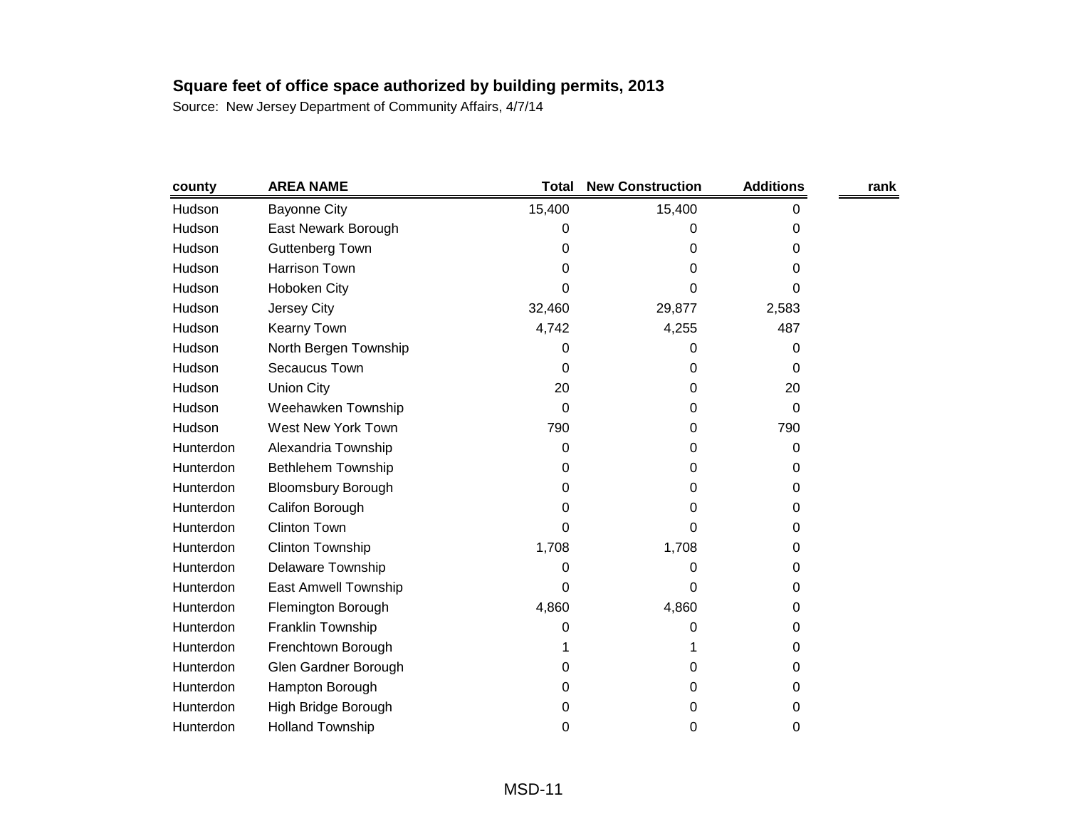| county    | <b>AREA NAME</b>          | <b>Total</b> | <b>New Construction</b> | <b>Additions</b> | rank |
|-----------|---------------------------|--------------|-------------------------|------------------|------|
| Hudson    | <b>Bayonne City</b>       | 15,400       | 15,400                  | 0                |      |
| Hudson    | East Newark Borough       | 0            | 0                       | 0                |      |
| Hudson    | Guttenberg Town           | 0            | 0                       | 0                |      |
| Hudson    | <b>Harrison Town</b>      | 0            | 0                       | 0                |      |
| Hudson    | Hoboken City              | 0            | 0                       | 0                |      |
| Hudson    | Jersey City               | 32,460       | 29,877                  | 2,583            |      |
| Hudson    | Kearny Town               | 4,742        | 4,255                   | 487              |      |
| Hudson    | North Bergen Township     | 0            | 0                       | 0                |      |
| Hudson    | Secaucus Town             | 0            | 0                       | 0                |      |
| Hudson    | <b>Union City</b>         | 20           | 0                       | 20               |      |
| Hudson    | Weehawken Township        | 0            | 0                       | $\Omega$         |      |
| Hudson    | West New York Town        | 790          | 0                       | 790              |      |
| Hunterdon | Alexandria Township       | 0            | 0                       | 0                |      |
| Hunterdon | <b>Bethlehem Township</b> | 0            | 0                       | 0                |      |
| Hunterdon | <b>Bloomsbury Borough</b> | 0            | 0                       | 0                |      |
| Hunterdon | Califon Borough           | 0            | 0                       | 0                |      |
| Hunterdon | <b>Clinton Town</b>       | 0            | 0                       | 0                |      |
| Hunterdon | <b>Clinton Township</b>   | 1,708        | 1,708                   | 0                |      |
| Hunterdon | Delaware Township         | 0            | 0                       | 0                |      |
| Hunterdon | East Amwell Township      | 0            | 0                       | 0                |      |
| Hunterdon | Flemington Borough        | 4,860        | 4,860                   | 0                |      |
| Hunterdon | Franklin Township         | 0            | 0                       | 0                |      |
| Hunterdon | Frenchtown Borough        |              | 1                       | 0                |      |
| Hunterdon | Glen Gardner Borough      | 0            | 0                       | 0                |      |
| Hunterdon | Hampton Borough           | 0            | 0                       | 0                |      |
| Hunterdon | High Bridge Borough       | 0            | 0                       | 0                |      |
| Hunterdon | <b>Holland Township</b>   | 0            | 0                       | 0                |      |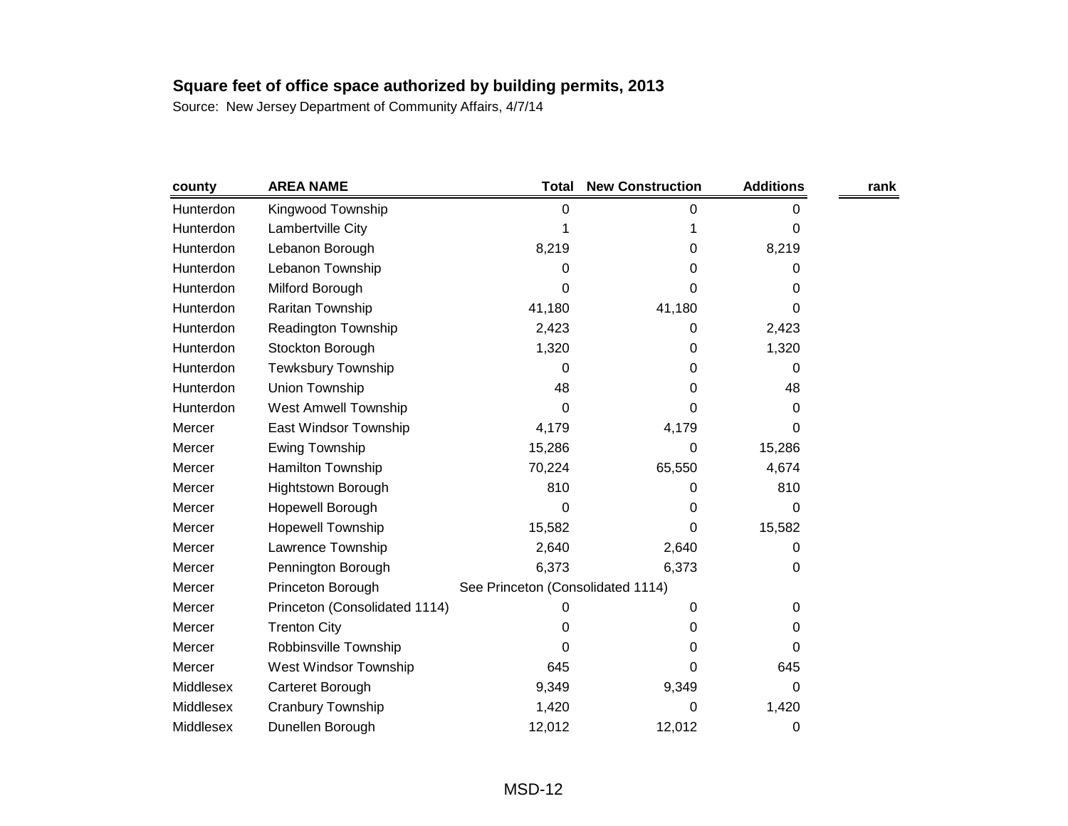| county    | <b>AREA NAME</b>              | <b>Total</b>                      | <b>New Construction</b> | <b>Additions</b> | rank |
|-----------|-------------------------------|-----------------------------------|-------------------------|------------------|------|
| Hunterdon | Kingwood Township             | 0                                 | 0                       | 0                |      |
| Hunterdon | Lambertville City             |                                   |                         | 0                |      |
| Hunterdon | Lebanon Borough               | 8,219                             | 0                       | 8,219            |      |
| Hunterdon | Lebanon Township              | 0                                 | 0                       | 0                |      |
| Hunterdon | Milford Borough               | 0                                 | 0                       | 0                |      |
| Hunterdon | Raritan Township              | 41,180                            | 41,180                  | 0                |      |
| Hunterdon | Readington Township           | 2,423                             | 0                       | 2,423            |      |
| Hunterdon | Stockton Borough              | 1,320                             | 0                       | 1,320            |      |
| Hunterdon | <b>Tewksbury Township</b>     | 0                                 | 0                       | 0                |      |
| Hunterdon | Union Township                | 48                                | 0                       | 48               |      |
| Hunterdon | <b>West Amwell Township</b>   | 0                                 | 0                       | 0                |      |
| Mercer    | East Windsor Township         | 4,179                             | 4,179                   | 0                |      |
| Mercer    | Ewing Township                | 15,286                            | 0                       | 15,286           |      |
| Mercer    | Hamilton Township             | 70,224                            | 65,550                  | 4,674            |      |
| Mercer    | <b>Hightstown Borough</b>     | 810                               | 0                       | 810              |      |
| Mercer    | Hopewell Borough              | 0                                 | 0                       | 0                |      |
| Mercer    | <b>Hopewell Township</b>      | 15,582                            | 0                       | 15,582           |      |
| Mercer    | Lawrence Township             | 2,640                             | 2,640                   | 0                |      |
| Mercer    | Pennington Borough            | 6,373                             | 6,373                   | 0                |      |
| Mercer    | Princeton Borough             | See Princeton (Consolidated 1114) |                         |                  |      |
| Mercer    | Princeton (Consolidated 1114) | 0                                 | 0                       | 0                |      |
| Mercer    | <b>Trenton City</b>           | 0                                 | 0                       | 0                |      |
| Mercer    | Robbinsville Township         | 0                                 | 0                       | 0                |      |
| Mercer    | West Windsor Township         | 645                               | 0                       | 645              |      |
| Middlesex | Carteret Borough              | 9,349                             | 9,349                   | 0                |      |
| Middlesex | Cranbury Township             | 1,420                             | 0                       | 1,420            |      |
| Middlesex | Dunellen Borough              | 12,012                            | 12,012                  | 0                |      |
|           |                               |                                   |                         |                  |      |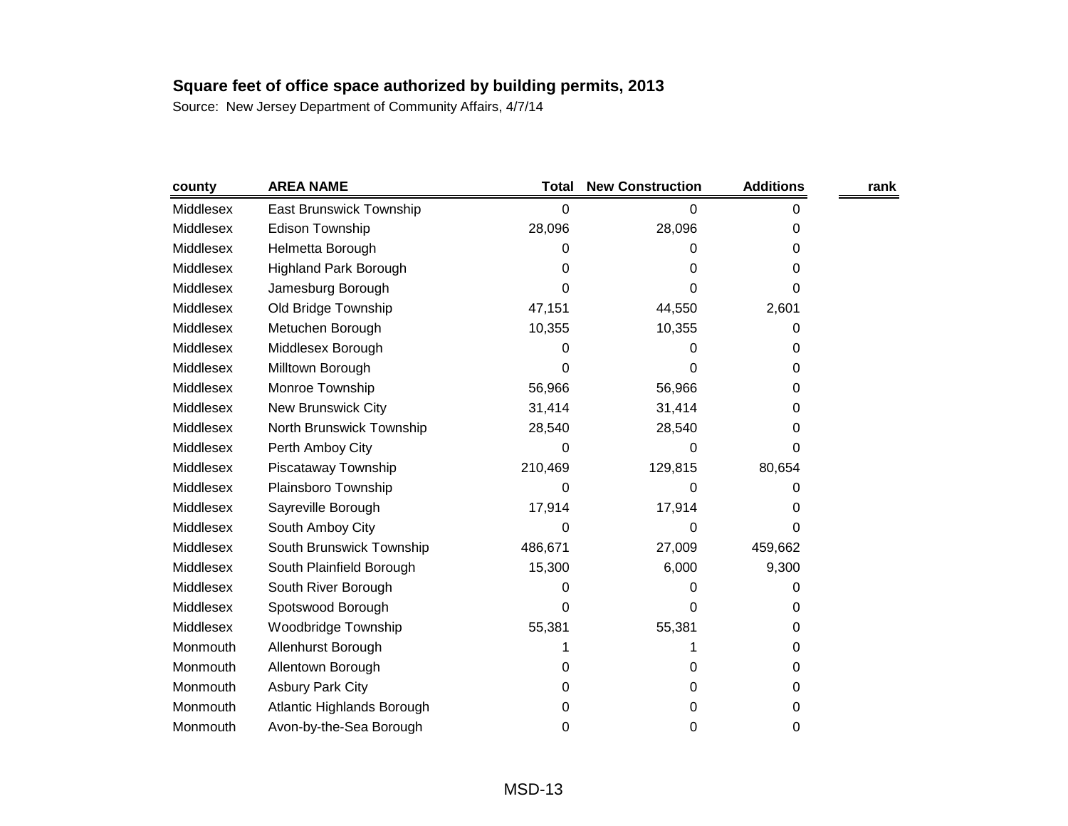| county    | <b>AREA NAME</b>               | <b>Total</b> | <b>New Construction</b> | <b>Additions</b> | rank |
|-----------|--------------------------------|--------------|-------------------------|------------------|------|
| Middlesex | <b>East Brunswick Township</b> | 0            | 0                       | 0                |      |
| Middlesex | <b>Edison Township</b>         | 28,096       | 28,096                  | 0                |      |
| Middlesex | Helmetta Borough               | 0            | Ω                       | 0                |      |
| Middlesex | <b>Highland Park Borough</b>   | 0            | 0                       | 0                |      |
| Middlesex | Jamesburg Borough              | 0            | 0                       | 0                |      |
| Middlesex | Old Bridge Township            | 47,151       | 44,550                  | 2,601            |      |
| Middlesex | Metuchen Borough               | 10,355       | 10,355                  | 0                |      |
| Middlesex | Middlesex Borough              | 0            | 0                       | 0                |      |
| Middlesex | Milltown Borough               | 0            | 0                       | 0                |      |
| Middlesex | Monroe Township                | 56,966       | 56,966                  | 0                |      |
| Middlesex | <b>New Brunswick City</b>      | 31,414       | 31,414                  | 0                |      |
| Middlesex | North Brunswick Township       | 28,540       | 28,540                  | 0                |      |
| Middlesex | Perth Amboy City               | 0            | 0                       | 0                |      |
| Middlesex | Piscataway Township            | 210,469      | 129,815                 | 80,654           |      |
| Middlesex | Plainsboro Township            | 0            | 0                       | O                |      |
| Middlesex | Sayreville Borough             | 17,914       | 17,914                  | O                |      |
| Middlesex | South Amboy City               | 0            | 0                       | 0                |      |
| Middlesex | South Brunswick Township       | 486,671      | 27,009                  | 459,662          |      |
| Middlesex | South Plainfield Borough       | 15,300       | 6,000                   | 9,300            |      |
| Middlesex | South River Borough            | 0            | 0                       | 0                |      |
| Middlesex | Spotswood Borough              | 0            | 0                       | 0                |      |
| Middlesex | Woodbridge Township            | 55,381       | 55,381                  | 0                |      |
| Monmouth  | Allenhurst Borough             | 1            |                         | 0                |      |
| Monmouth  | Allentown Borough              | 0            | 0                       | 0                |      |
| Monmouth  | <b>Asbury Park City</b>        | 0            | 0                       | 0                |      |
| Monmouth  | Atlantic Highlands Borough     | 0            | 0                       | 0                |      |
| Monmouth  | Avon-by-the-Sea Borough        | 0            | 0                       | 0                |      |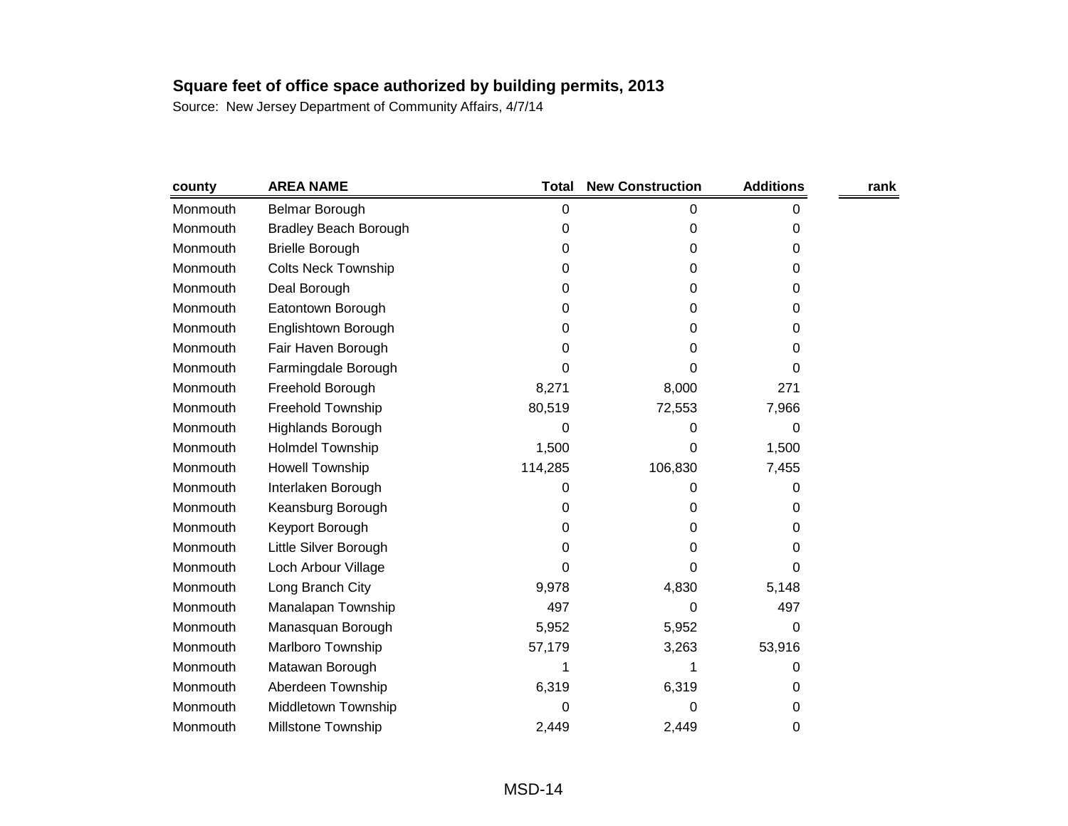| county   | <b>AREA NAME</b>             | <b>Total</b> | <b>New Construction</b> | <b>Additions</b> | rank |
|----------|------------------------------|--------------|-------------------------|------------------|------|
| Monmouth | Belmar Borough               | 0            | 0                       | 0                |      |
| Monmouth | <b>Bradley Beach Borough</b> | 0            | 0                       | 0                |      |
| Monmouth | <b>Brielle Borough</b>       | 0            | 0                       | 0                |      |
| Monmouth | <b>Colts Neck Township</b>   | 0            | 0                       | 0                |      |
| Monmouth | Deal Borough                 | 0            | 0                       | 0                |      |
| Monmouth | Eatontown Borough            | 0            | 0                       | 0                |      |
| Monmouth | Englishtown Borough          | 0            | 0                       | 0                |      |
| Monmouth | Fair Haven Borough           | 0            | 0                       | 0                |      |
| Monmouth | Farmingdale Borough          | 0            | 0                       | 0                |      |
| Monmouth | Freehold Borough             | 8,271        | 8,000                   | 271              |      |
| Monmouth | Freehold Township            | 80,519       | 72,553                  | 7,966            |      |
| Monmouth | Highlands Borough            | 0            | 0                       | 0                |      |
| Monmouth | <b>Holmdel Township</b>      | 1,500        | 0                       | 1,500            |      |
| Monmouth | <b>Howell Township</b>       | 114,285      | 106,830                 | 7,455            |      |
| Monmouth | Interlaken Borough           | 0            | 0                       | 0                |      |
| Monmouth | Keansburg Borough            | 0            | 0                       | 0                |      |
| Monmouth | Keyport Borough              | 0            | 0                       | 0                |      |
| Monmouth | Little Silver Borough        | 0            | 0                       | 0                |      |
| Monmouth | Loch Arbour Village          | 0            | 0                       | 0                |      |
| Monmouth | Long Branch City             | 9,978        | 4,830                   | 5,148            |      |
| Monmouth | Manalapan Township           | 497          | 0                       | 497              |      |
| Monmouth | Manasquan Borough            | 5,952        | 5,952                   | 0                |      |
| Monmouth | Marlboro Township            | 57,179       | 3,263                   | 53,916           |      |
| Monmouth | Matawan Borough              | 1            | 1                       | 0                |      |
| Monmouth | Aberdeen Township            | 6,319        | 6,319                   | 0                |      |
| Monmouth | Middletown Township          | 0            | 0                       | 0                |      |
| Monmouth | <b>Millstone Township</b>    | 2,449        | 2,449                   | 0                |      |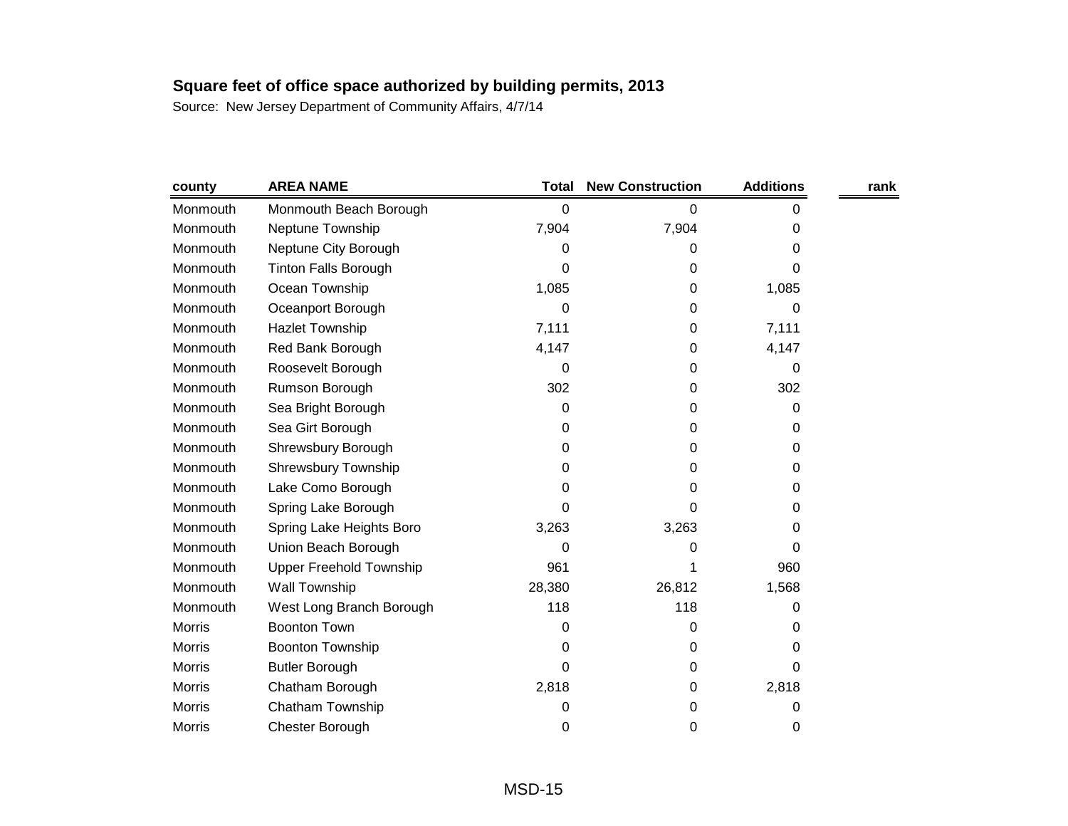| county        | <b>AREA NAME</b>               | Total  | <b>New Construction</b> | <b>Additions</b> | rank |
|---------------|--------------------------------|--------|-------------------------|------------------|------|
| Monmouth      | Monmouth Beach Borough         | 0      | 0                       | 0                |      |
| Monmouth      | Neptune Township               | 7,904  | 7,904                   | 0                |      |
| Monmouth      | Neptune City Borough           | 0      | 0                       | 0                |      |
| Monmouth      | <b>Tinton Falls Borough</b>    | 0      | 0                       | 0                |      |
| Monmouth      | Ocean Township                 | 1,085  | 0                       | 1,085            |      |
| Monmouth      | Oceanport Borough              | 0      | 0                       | 0                |      |
| Monmouth      | <b>Hazlet Township</b>         | 7,111  | 0                       | 7,111            |      |
| Monmouth      | Red Bank Borough               | 4,147  | 0                       | 4,147            |      |
| Monmouth      | Roosevelt Borough              | 0      | 0                       | 0                |      |
| Monmouth      | Rumson Borough                 | 302    | 0                       | 302              |      |
| Monmouth      | Sea Bright Borough             | 0      | 0                       | 0                |      |
| Monmouth      | Sea Girt Borough               | 0      | 0                       | 0                |      |
| Monmouth      | Shrewsbury Borough             | 0      | 0                       | 0                |      |
| Monmouth      | Shrewsbury Township            | 0      | 0                       | 0                |      |
| Monmouth      | Lake Como Borough              | 0      | 0                       | 0                |      |
| Monmouth      | Spring Lake Borough            | 0      | 0                       | 0                |      |
| Monmouth      | Spring Lake Heights Boro       | 3,263  | 3,263                   | 0                |      |
| Monmouth      | Union Beach Borough            | 0      | 0                       | 0                |      |
| Monmouth      | <b>Upper Freehold Township</b> | 961    |                         | 960              |      |
| Monmouth      | Wall Township                  | 28,380 | 26,812                  | 1,568            |      |
| Monmouth      | West Long Branch Borough       | 118    | 118                     | 0                |      |
| <b>Morris</b> | <b>Boonton Town</b>            | 0      | 0                       | 0                |      |
| <b>Morris</b> | <b>Boonton Township</b>        | 0      | 0                       | 0                |      |
| <b>Morris</b> | <b>Butler Borough</b>          | 0      | 0                       | 0                |      |
| <b>Morris</b> | Chatham Borough                | 2,818  | 0                       | 2,818            |      |
| <b>Morris</b> | Chatham Township               | 0      | 0                       | 0                |      |
| Morris        | Chester Borough                | 0      | 0                       | 0                |      |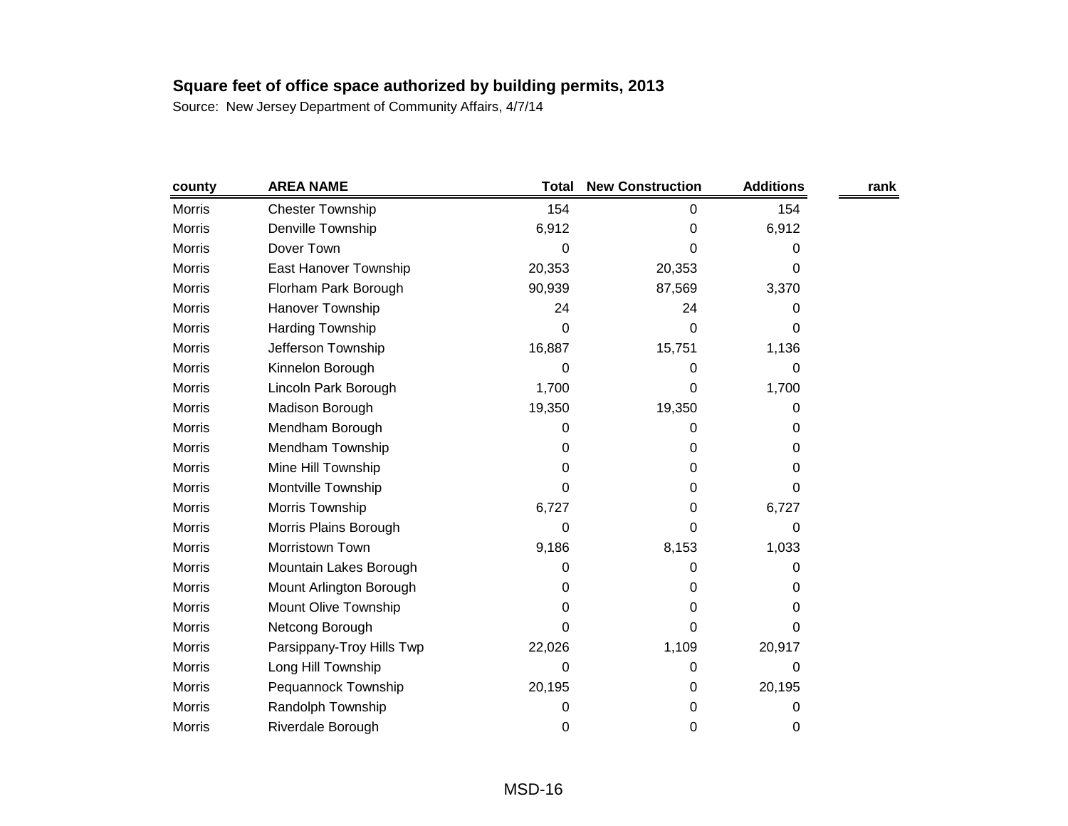| county        | <b>AREA NAME</b>          | <b>Total</b> | <b>New Construction</b> | <b>Additions</b> | rank |
|---------------|---------------------------|--------------|-------------------------|------------------|------|
| <b>Morris</b> | <b>Chester Township</b>   | 154          | 0                       | 154              |      |
| <b>Morris</b> | Denville Township         | 6,912        | 0                       | 6,912            |      |
| <b>Morris</b> | Dover Town                | 0            | 0                       | 0                |      |
| <b>Morris</b> | East Hanover Township     | 20,353       | 20,353                  | 0                |      |
| <b>Morris</b> | Florham Park Borough      | 90,939       | 87,569                  | 3,370            |      |
| <b>Morris</b> | Hanover Township          | 24           | 24                      | 0                |      |
| <b>Morris</b> | Harding Township          | 0            | 0                       | 0                |      |
| <b>Morris</b> | Jefferson Township        | 16,887       | 15,751                  | 1,136            |      |
| <b>Morris</b> | Kinnelon Borough          | 0            | 0                       | 0                |      |
| <b>Morris</b> | Lincoln Park Borough      | 1,700        | 0                       | 1,700            |      |
| <b>Morris</b> | Madison Borough           | 19,350       | 19,350                  | 0                |      |
| Morris        | Mendham Borough           | 0            | 0                       | 0                |      |
| <b>Morris</b> | Mendham Township          | 0            | 0                       | 0                |      |
| <b>Morris</b> | Mine Hill Township        | 0            | 0                       | 0                |      |
| <b>Morris</b> | Montville Township        | 0            | 0                       | 0                |      |
| <b>Morris</b> | Morris Township           | 6,727        | 0                       | 6,727            |      |
| <b>Morris</b> | Morris Plains Borough     | 0            | 0                       | 0                |      |
| <b>Morris</b> | Morristown Town           | 9,186        | 8,153                   | 1,033            |      |
| <b>Morris</b> | Mountain Lakes Borough    | 0            | 0                       | 0                |      |
| <b>Morris</b> | Mount Arlington Borough   | 0            | 0                       | 0                |      |
| <b>Morris</b> | Mount Olive Township      | 0            | 0                       | 0                |      |
| <b>Morris</b> | Netcong Borough           | 0            | 0                       | 0                |      |
| <b>Morris</b> | Parsippany-Troy Hills Twp | 22,026       | 1,109                   | 20,917           |      |
| <b>Morris</b> | Long Hill Township        | 0            | 0                       | 0                |      |
| <b>Morris</b> | Pequannock Township       | 20,195       | 0                       | 20,195           |      |
| <b>Morris</b> | Randolph Township         | 0            | 0                       | 0                |      |
| <b>Morris</b> | Riverdale Borough         | 0            | 0                       | 0                |      |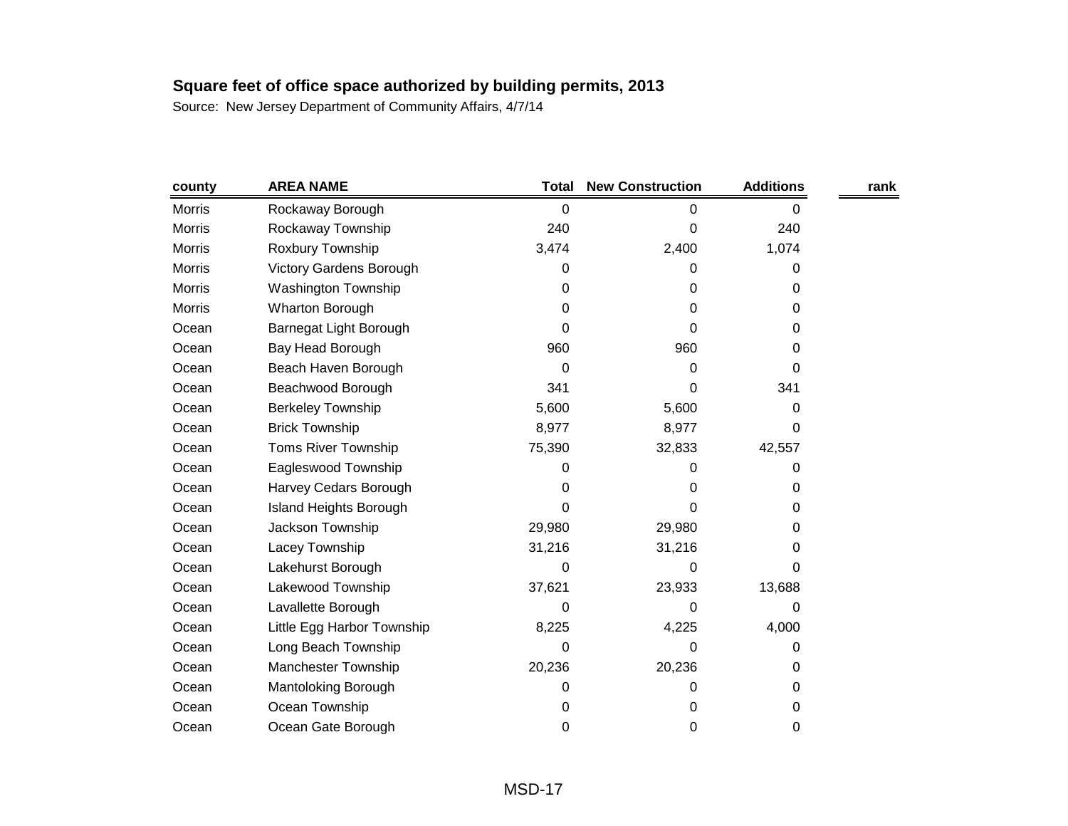| county        | <b>AREA NAME</b>               | <b>Total</b> | <b>New Construction</b> | <b>Additions</b> | rank |
|---------------|--------------------------------|--------------|-------------------------|------------------|------|
| <b>Morris</b> | Rockaway Borough               | 0            | 0                       | 0                |      |
| <b>Morris</b> | Rockaway Township              | 240          | 0                       | 240              |      |
| <b>Morris</b> | Roxbury Township               | 3,474        | 2,400                   | 1,074            |      |
| <b>Morris</b> | <b>Victory Gardens Borough</b> | 0            | 0                       | 0                |      |
| <b>Morris</b> | Washington Township            | 0            | 0                       | 0                |      |
| Morris        | <b>Wharton Borough</b>         | 0            | 0                       | 0                |      |
| Ocean         | Barnegat Light Borough         | 0            | 0                       | 0                |      |
| Ocean         | Bay Head Borough               | 960          | 960                     | 0                |      |
| Ocean         | Beach Haven Borough            | 0            | 0                       | 0                |      |
| Ocean         | Beachwood Borough              | 341          | 0                       | 341              |      |
| Ocean         | <b>Berkeley Township</b>       | 5,600        | 5,600                   | 0                |      |
| Ocean         | <b>Brick Township</b>          | 8,977        | 8,977                   | 0                |      |
| Ocean         | <b>Toms River Township</b>     | 75,390       | 32,833                  | 42,557           |      |
| Ocean         | Eagleswood Township            | 0            | O                       | 0                |      |
| Ocean         | Harvey Cedars Borough          | 0            | 0                       | 0                |      |
| Ocean         | <b>Island Heights Borough</b>  | 0            | 0                       | 0                |      |
| Ocean         | Jackson Township               | 29,980       | 29,980                  | 0                |      |
| Ocean         | Lacey Township                 | 31,216       | 31,216                  | 0                |      |
| Ocean         | Lakehurst Borough              | 0            | 0                       | 0                |      |
| Ocean         | Lakewood Township              | 37,621       | 23,933                  | 13,688           |      |
| Ocean         | Lavallette Borough             | 0            | 0                       | 0                |      |
| Ocean         | Little Egg Harbor Township     | 8,225        | 4,225                   | 4,000            |      |
| Ocean         | Long Beach Township            | 0            | 0                       | 0                |      |
| Ocean         | Manchester Township            | 20,236       | 20,236                  | 0                |      |
| Ocean         | Mantoloking Borough            | 0            | 0                       | 0                |      |
| Ocean         | Ocean Township                 | 0            | 0                       | 0                |      |
| Ocean         | Ocean Gate Borough             | 0            | 0                       | 0                |      |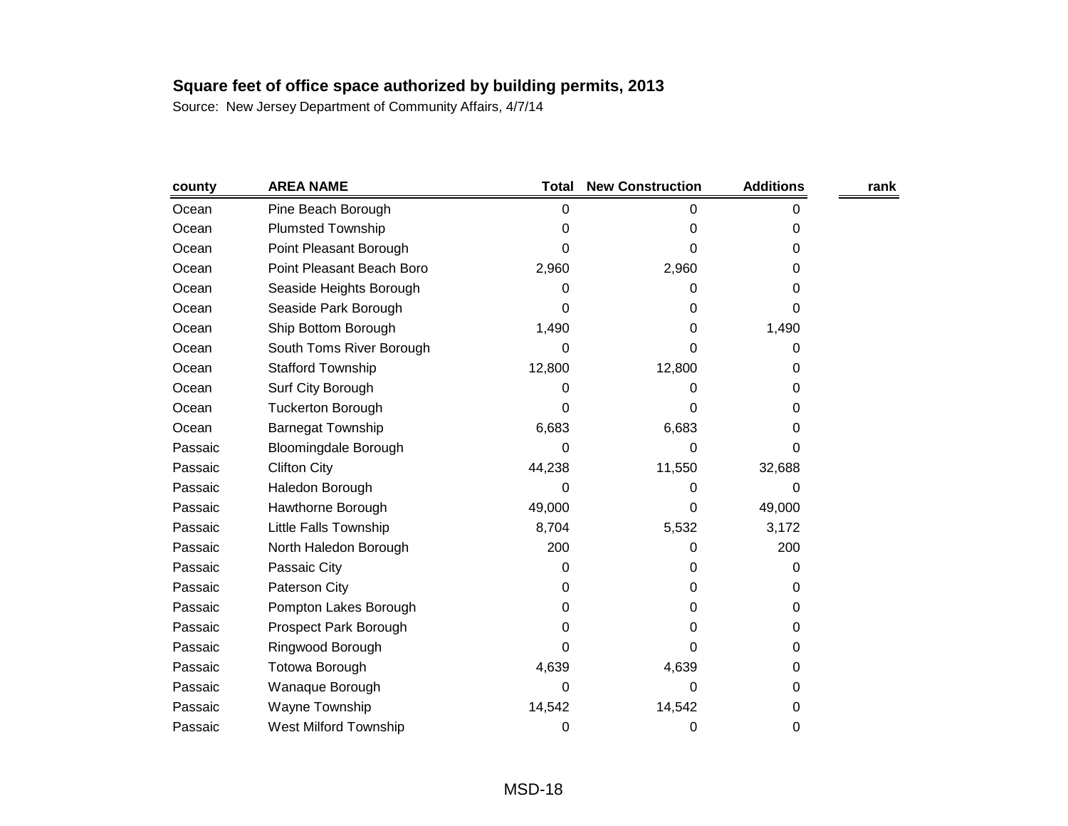| county  | <b>AREA NAME</b>             | <b>Total</b> | <b>New Construction</b> | <b>Additions</b> | rank |
|---------|------------------------------|--------------|-------------------------|------------------|------|
| Ocean   | Pine Beach Borough           | 0            | 0                       | 0                |      |
| Ocean   | <b>Plumsted Township</b>     | 0            | 0                       | 0                |      |
| Ocean   | Point Pleasant Borough       | 0            | 0                       | 0                |      |
| Ocean   | Point Pleasant Beach Boro    | 2,960        | 2,960                   | 0                |      |
| Ocean   | Seaside Heights Borough      | 0            | 0                       | 0                |      |
| Ocean   | Seaside Park Borough         | 0            | 0                       | 0                |      |
| Ocean   | Ship Bottom Borough          | 1,490        | 0                       | 1,490            |      |
| Ocean   | South Toms River Borough     | 0            | 0                       | 0                |      |
| Ocean   | <b>Stafford Township</b>     | 12,800       | 12,800                  | 0                |      |
| Ocean   | Surf City Borough            | 0            | 0                       | 0                |      |
| Ocean   | <b>Tuckerton Borough</b>     | 0            | 0                       | 0                |      |
| Ocean   | <b>Barnegat Township</b>     | 6,683        | 6,683                   | 0                |      |
| Passaic | <b>Bloomingdale Borough</b>  | 0            | 0                       | 0                |      |
| Passaic | <b>Clifton City</b>          | 44,238       | 11,550                  | 32,688           |      |
| Passaic | Haledon Borough              | 0            | 0                       | 0                |      |
| Passaic | Hawthorne Borough            | 49,000       | 0                       | 49,000           |      |
| Passaic | Little Falls Township        | 8,704        | 5,532                   | 3,172            |      |
| Passaic | North Haledon Borough        | 200          | 0                       | 200              |      |
| Passaic | Passaic City                 | 0            | 0                       | 0                |      |
| Passaic | Paterson City                | 0            | 0                       | 0                |      |
| Passaic | Pompton Lakes Borough        | 0            | 0                       | 0                |      |
| Passaic | Prospect Park Borough        | 0            | 0                       | 0                |      |
| Passaic | Ringwood Borough             | 0            | 0                       | 0                |      |
| Passaic | Totowa Borough               | 4,639        | 4,639                   | 0                |      |
| Passaic | Wanaque Borough              | 0            | 0                       | 0                |      |
| Passaic | Wayne Township               | 14,542       | 14,542                  | 0                |      |
| Passaic | <b>West Milford Township</b> | 0            | 0                       | 0                |      |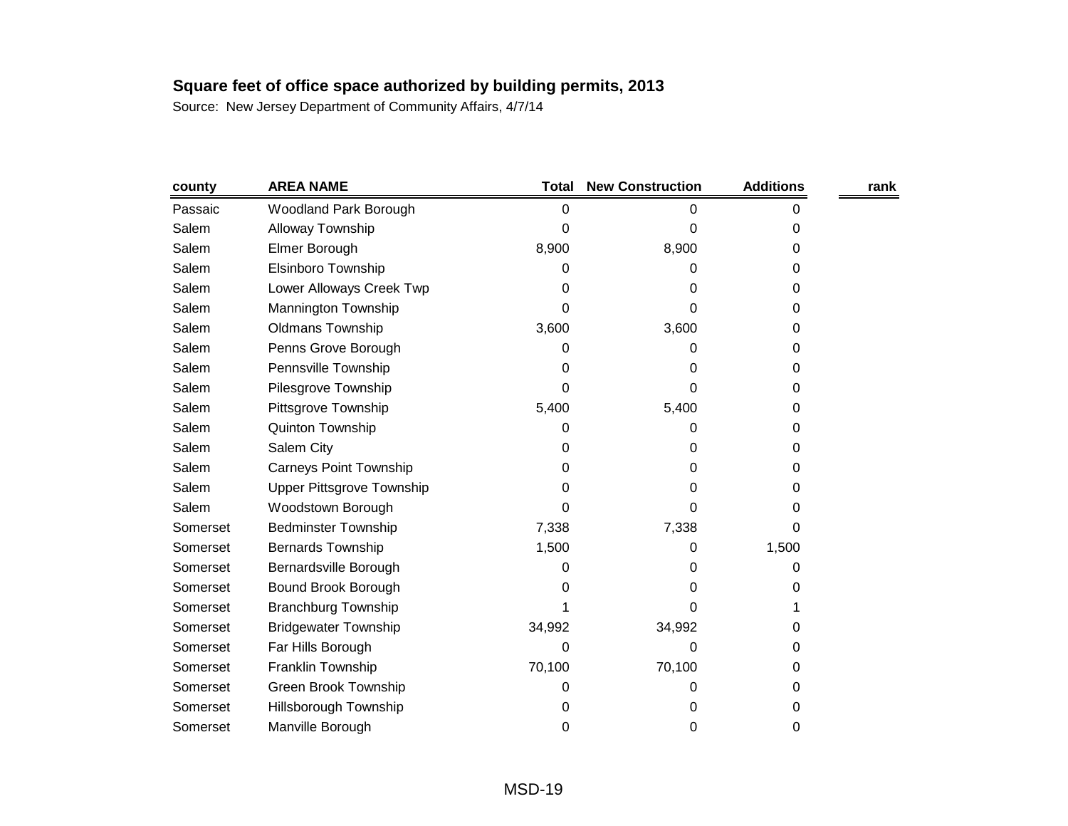| county   | <b>AREA NAME</b>                 | Total  | <b>New Construction</b> | <b>Additions</b> | rank |
|----------|----------------------------------|--------|-------------------------|------------------|------|
| Passaic  | Woodland Park Borough            | 0      | 0                       | 0                |      |
| Salem    | Alloway Township                 | 0      | 0                       | 0                |      |
| Salem    | Elmer Borough                    | 8,900  | 8,900                   | 0                |      |
| Salem    | Elsinboro Township               | 0      | 0                       | 0                |      |
| Salem    | Lower Alloways Creek Twp         | 0      | 0                       | 0                |      |
| Salem    | Mannington Township              | 0      | 0                       | 0                |      |
| Salem    | <b>Oldmans Township</b>          | 3,600  | 3,600                   | 0                |      |
| Salem    | Penns Grove Borough              | 0      | 0                       | 0                |      |
| Salem    | Pennsville Township              | 0      | 0                       | 0                |      |
| Salem    | Pilesgrove Township              | 0      | 0                       | 0                |      |
| Salem    | Pittsgrove Township              | 5,400  | 5,400                   | 0                |      |
| Salem    | Quinton Township                 | 0      | 0                       | 0                |      |
| Salem    | Salem City                       | 0      | 0                       | 0                |      |
| Salem    | <b>Carneys Point Township</b>    | 0      | 0                       | 0                |      |
| Salem    | <b>Upper Pittsgrove Township</b> | 0      | 0                       | 0                |      |
| Salem    | Woodstown Borough                | 0      | 0                       | 0                |      |
| Somerset | <b>Bedminster Township</b>       | 7,338  | 7,338                   | 0                |      |
| Somerset | <b>Bernards Township</b>         | 1,500  | 0                       | 1,500            |      |
| Somerset | Bernardsville Borough            | 0      | 0                       | 0                |      |
| Somerset | Bound Brook Borough              | 0      | 0                       | 0                |      |
| Somerset | <b>Branchburg Township</b>       |        | 0                       |                  |      |
| Somerset | <b>Bridgewater Township</b>      | 34,992 | 34,992                  | 0                |      |
| Somerset | Far Hills Borough                | 0      | 0                       | 0                |      |
| Somerset | Franklin Township                | 70,100 | 70,100                  | 0                |      |
| Somerset | Green Brook Township             | 0      | o                       | 0                |      |
| Somerset | <b>Hillsborough Township</b>     | 0      | 0                       | 0                |      |
| Somerset | Manville Borough                 | 0      | 0                       | 0                |      |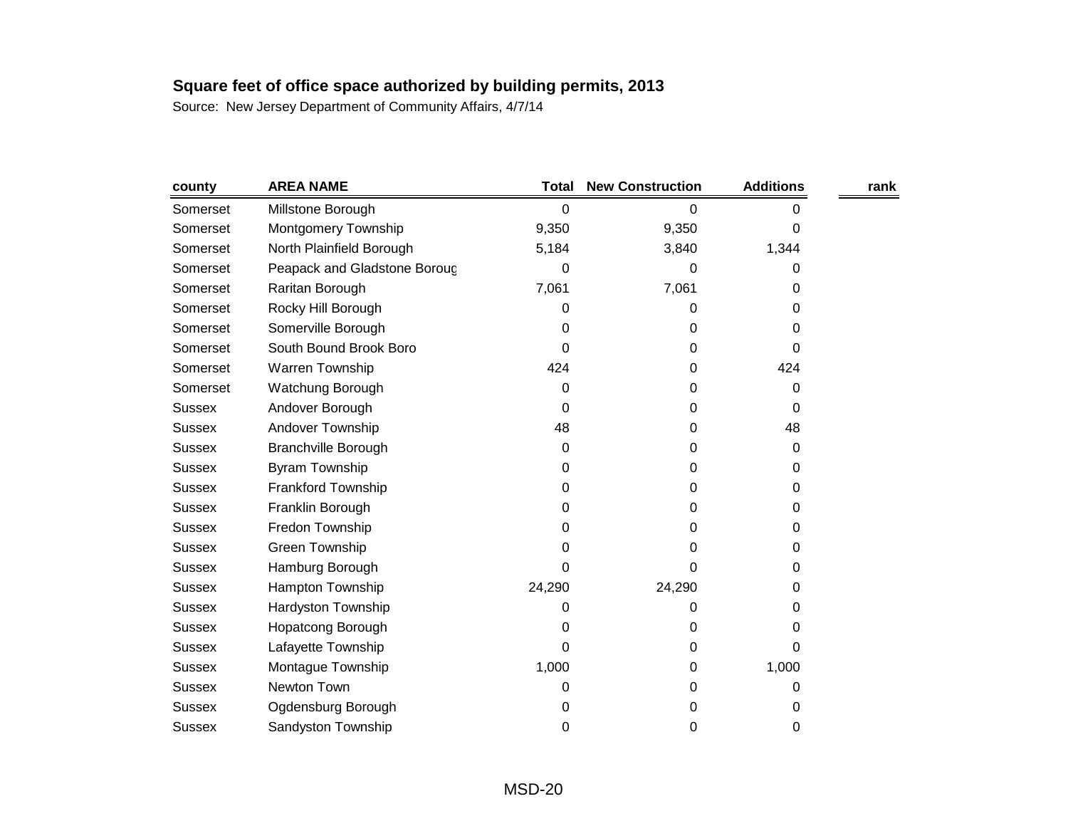| county        | <b>AREA NAME</b>             | <b>Total</b> | <b>New Construction</b> | <b>Additions</b> | rank |
|---------------|------------------------------|--------------|-------------------------|------------------|------|
| Somerset      | Millstone Borough            | 0            | 0                       | 0                |      |
| Somerset      | Montgomery Township          | 9,350        | 9,350                   | 0                |      |
| Somerset      | North Plainfield Borough     | 5,184        | 3,840                   | 1,344            |      |
| Somerset      | Peapack and Gladstone Boroug | 0            | 0                       | 0                |      |
| Somerset      | Raritan Borough              | 7,061        | 7,061                   | 0                |      |
| Somerset      | Rocky Hill Borough           | 0            | 0                       | 0                |      |
| Somerset      | Somerville Borough           | 0            | 0                       | 0                |      |
| Somerset      | South Bound Brook Boro       | 0            | 0                       | 0                |      |
| Somerset      | Warren Township              | 424          | 0                       | 424              |      |
| Somerset      | Watchung Borough             | 0            | 0                       | 0                |      |
| <b>Sussex</b> | Andover Borough              | 0            | 0                       | 0                |      |
| <b>Sussex</b> | Andover Township             | 48           | 0                       | 48               |      |
| <b>Sussex</b> | <b>Branchville Borough</b>   | 0            | 0                       | 0                |      |
| <b>Sussex</b> | <b>Byram Township</b>        | 0            | 0                       | 0                |      |
| <b>Sussex</b> | <b>Frankford Township</b>    | 0            | 0                       | 0                |      |
| <b>Sussex</b> | Franklin Borough             | 0            | 0                       | 0                |      |
| <b>Sussex</b> | Fredon Township              | 0            | 0                       | 0                |      |
| <b>Sussex</b> | <b>Green Township</b>        | 0            | 0                       | 0                |      |
| <b>Sussex</b> | Hamburg Borough              | 0            | 0                       | 0                |      |
| <b>Sussex</b> | Hampton Township             | 24,290       | 24,290                  | 0                |      |
| <b>Sussex</b> | Hardyston Township           | 0            | 0                       | 0                |      |
| <b>Sussex</b> | <b>Hopatcong Borough</b>     | 0            | 0                       | 0                |      |
| <b>Sussex</b> | Lafayette Township           | 0            | 0                       | 0                |      |
| <b>Sussex</b> | Montague Township            | 1,000        | 0                       | 1,000            |      |
| <b>Sussex</b> | Newton Town                  | 0            | 0                       | 0                |      |
| <b>Sussex</b> | Ogdensburg Borough           | 0            | 0                       | 0                |      |
| <b>Sussex</b> | Sandyston Township           | 0            | 0                       | 0                |      |
|               |                              |              |                         |                  |      |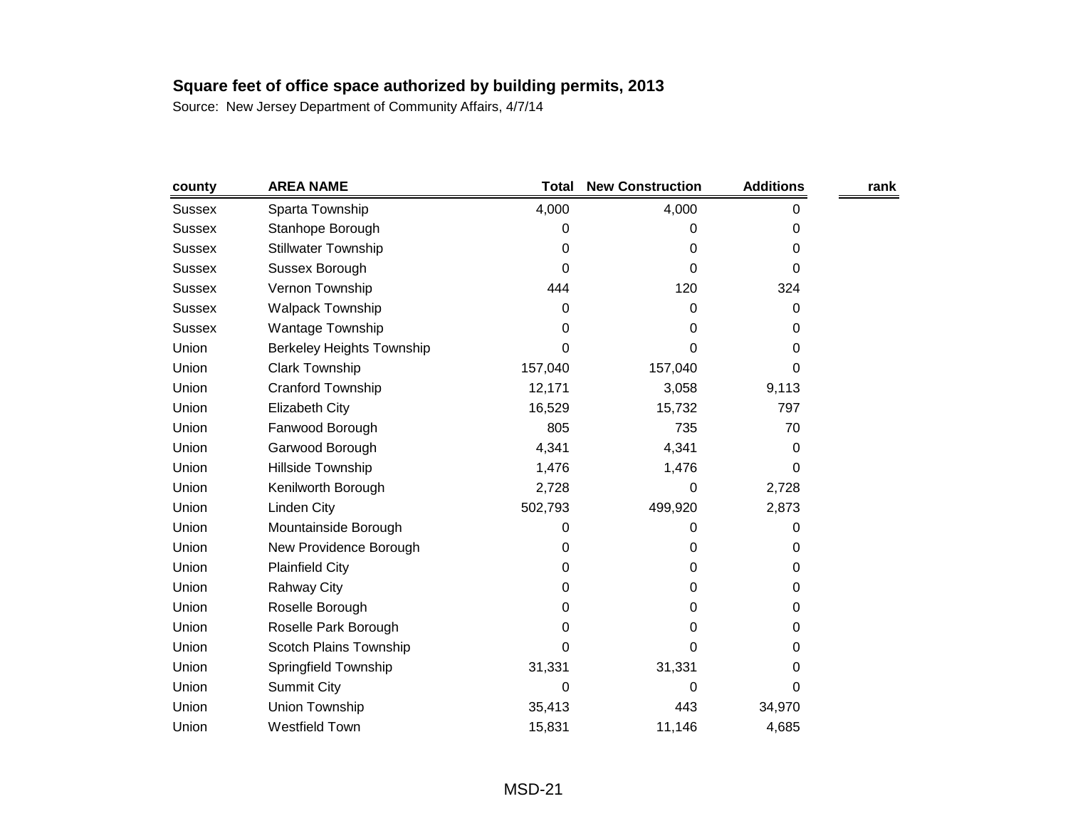| county        | <b>AREA NAME</b>                 | <b>Total</b> | <b>New Construction</b> | <b>Additions</b> | rank |
|---------------|----------------------------------|--------------|-------------------------|------------------|------|
| <b>Sussex</b> | Sparta Township                  | 4,000        | 4,000                   | 0                |      |
| <b>Sussex</b> | Stanhope Borough                 | 0            | 0                       | 0                |      |
| <b>Sussex</b> | <b>Stillwater Township</b>       | 0            | 0                       | 0                |      |
| <b>Sussex</b> | Sussex Borough                   | 0            | 0                       | 0                |      |
| <b>Sussex</b> | Vernon Township                  | 444          | 120                     | 324              |      |
| <b>Sussex</b> | <b>Walpack Township</b>          | 0            | 0                       | 0                |      |
| <b>Sussex</b> | Wantage Township                 | 0            | 0                       | 0                |      |
| Union         | <b>Berkeley Heights Township</b> | 0            | 0                       | 0                |      |
| Union         | <b>Clark Township</b>            | 157,040      | 157,040                 | 0                |      |
| Union         | Cranford Township                | 12,171       | 3,058                   | 9,113            |      |
| Union         | <b>Elizabeth City</b>            | 16,529       | 15,732                  | 797              |      |
| Union         | Fanwood Borough                  | 805          | 735                     | 70               |      |
| Union         | Garwood Borough                  | 4,341        | 4,341                   | 0                |      |
| Union         | Hillside Township                | 1,476        | 1,476                   | 0                |      |
| Union         | Kenilworth Borough               | 2,728        | 0                       | 2,728            |      |
| Union         | Linden City                      | 502,793      | 499,920                 | 2,873            |      |
| Union         | Mountainside Borough             | 0            | 0                       | 0                |      |
| Union         | New Providence Borough           | 0            | 0                       | 0                |      |
| Union         | <b>Plainfield City</b>           | 0            | 0                       | 0                |      |
| Union         | <b>Rahway City</b>               | 0            | 0                       | 0                |      |
| Union         | Roselle Borough                  | 0            | 0                       | 0                |      |
| Union         | Roselle Park Borough             | 0            | 0                       | 0                |      |
| Union         | Scotch Plains Township           | 0            | 0                       | 0                |      |
| Union         | Springfield Township             | 31,331       | 31,331                  | 0                |      |
| Union         | <b>Summit City</b>               | 0            | 0                       | 0                |      |
| Union         | Union Township                   | 35,413       | 443                     | 34,970           |      |
| Union         | <b>Westfield Town</b>            | 15,831       | 11,146                  | 4,685            |      |